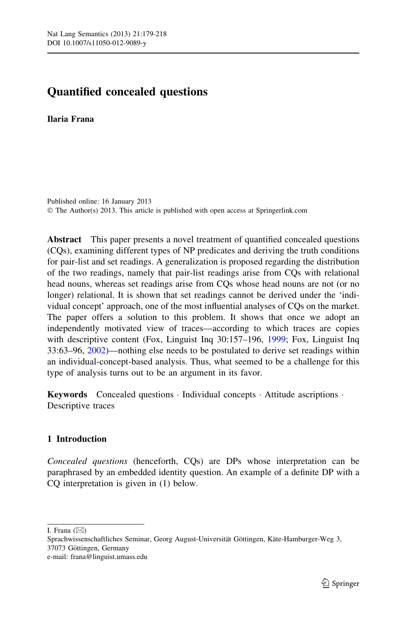# Quantified concealed questions

Ilaria Frana

Published online: 16 January 2013 © The Author(s) 2013. This article is published with open access at Springerlink.com

Abstract This paper presents a novel treatment of quantified concealed questions (CQs), examining different types of NP predicates and deriving the truth conditions for pair-list and set readings. A generalization is proposed regarding the distribution of the two readings, namely that pair-list readings arise from CQs with relational head nouns, whereas set readings arise from CQs whose head nouns are not (or no longer) relational. It is shown that set readings cannot be derived under the 'individual concept' approach, one of the most influential analyses of CQs on the market. The paper offers a solution to this problem. It shows that once we adopt an independently motivated view of traces—according to which traces are copies with descriptive content (Fox, Linguist Inq 30:157–196, [1999;](#page-38-0) Fox, Linguist Inq 33:63–96, [2002](#page-38-0))—nothing else needs to be postulated to derive set readings within an individual-concept-based analysis. Thus, what seemed to be a challenge for this type of analysis turns out to be an argument in its favor.

Keywords Concealed questions · Individual concepts · Attitude ascriptions · Descriptive traces

# 1 Introduction

Concealed questions (henceforth, CQs) are DPs whose interpretation can be paraphrased by an embedded identity question. An example of a definite DP with a CQ interpretation is given in (1) below.

I. Frana  $(\boxtimes)$ 

Sprachwissenschaftliches Seminar, Georg August-Universität Göttingen, Käte-Hamburger-Weg 3, 37073 Göttingen, Germany e-mail: frana@linguist.umass.edu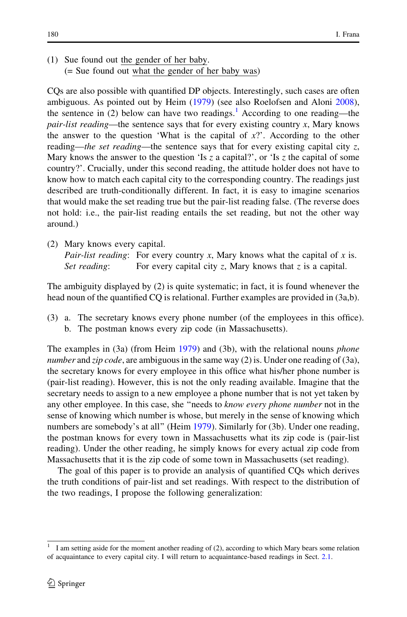(1) Sue found out the gender of her baby. (= Sue found out what the gender of her baby was)

CQs are also possible with quantified DP objects. Interestingly, such cases are often ambiguous. As pointed out by Heim [\(1979](#page-39-0)) (see also Roelofsen and Aloni [2008\)](#page-39-0), the sentence in (2) below can have two readings.<sup>1</sup> According to one reading—the pair-list reading—the sentence says that for every existing country x, Mary knows the answer to the question 'What is the capital of  $x$ ?'. According to the other reading—the set reading—the sentence says that for every existing capital city  $z$ , Mary knows the answer to the question 'Is z a capital?', or 'Is z the capital of some country?'. Crucially, under this second reading, the attitude holder does not have to know how to match each capital city to the corresponding country. The readings just described are truth-conditionally different. In fact, it is easy to imagine scenarios that would make the set reading true but the pair-list reading false. (The reverse does not hold: i.e., the pair-list reading entails the set reading, but not the other way around.)

(2) Mary knows every capital. Pair-list reading: For every country x, Mary knows what the capital of x is. Set reading: For every capital city z, Mary knows that z is a capital.

The ambiguity displayed by (2) is quite systematic; in fact, it is found whenever the head noun of the quantified CQ is relational. Further examples are provided in (3a,b).

(3) a. The secretary knows every phone number (of the employees in this office). b. The postman knows every zip code (in Massachusetts).

The examples in (3a) (from Heim [1979\)](#page-39-0) and (3b), with the relational nouns phone number and zip code, are ambiguous in the same way  $(2)$  is. Under one reading of  $(3a)$ , the secretary knows for every employee in this office what his/her phone number is (pair-list reading). However, this is not the only reading available. Imagine that the secretary needs to assign to a new employee a phone number that is not yet taken by any other employee. In this case, she "needs to *know every phone number* not in the sense of knowing which number is whose, but merely in the sense of knowing which numbers are somebody's at all'' (Heim [1979](#page-39-0)). Similarly for (3b). Under one reading, the postman knows for every town in Massachusetts what its zip code is (pair-list reading). Under the other reading, he simply knows for every actual zip code from Massachusetts that it is the zip code of some town in Massachusetts (set reading).

The goal of this paper is to provide an analysis of quantified CQs which derives the truth conditions of pair-list and set readings. With respect to the distribution of the two readings, I propose the following generalization:

<sup>1</sup> I am setting aside for the moment another reading of (2), according to which Mary bears some relation of acquaintance to every capital city. I will return to acquaintance-based readings in Sect. [2.1.](#page-3-0)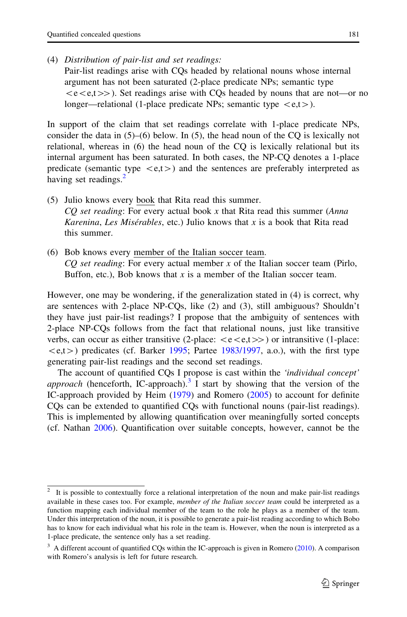Pair-list readings arise with CQs headed by relational nouns whose internal argument has not been saturated (2-place predicate NPs; semantic type  $\langle e\langle e,t\rangle \rangle$ . Set readings arise with CQs headed by nouns that are not—or no longer—relational (1-place predicate NPs; semantic type  $\langle e,t \rangle$ ).

In support of the claim that set readings correlate with 1-place predicate NPs, consider the data in  $(5)$ – $(6)$  below. In  $(5)$ , the head noun of the CO is lexically not relational, whereas in (6) the head noun of the CQ is lexically relational but its internal argument has been saturated. In both cases, the NP-CQ denotes a 1-place predicate (semantic type  $\langle e,t \rangle$ ) and the sentences are preferably interpreted as having set readings.<sup>2</sup>

- (5) Julio knows every book that Rita read this summer.  $CO$  set reading: For every actual book x that Rita read this summer (Anna *Karenina, Les Misérables, etc.*) Julio knows that x is a book that Rita read this summer.
- (6) Bob knows every member of the Italian soccer team.  $CO$  set reading: For every actual member x of the Italian soccer team (Pirlo, Buffon, etc.), Bob knows that  $x$  is a member of the Italian soccer team.

However, one may be wondering, if the generalization stated in (4) is correct, why are sentences with 2-place NP-CQs, like (2) and (3), still ambiguous? Shouldn't they have just pair-list readings? I propose that the ambiguity of sentences with 2-place NP-CQs follows from the fact that relational nouns, just like transitive verbs, can occur as either transitive (2-place:  $\langle e \langle e,t \rangle \rangle$ ) or intransitive (1-place:  $\langle e,t \rangle$ ) predicates (cf. Barker [1995;](#page-38-0) Partee [1983/1997,](#page-39-0) a.o.), with the first type generating pair-list readings and the second set readings.

The account of quantified CQs I propose is cast within the *'individual concept' approach* (henceforth, IC-approach).<sup>3</sup> I start by showing that the version of the IC-approach provided by Heim [\(1979](#page-39-0)) and Romero [\(2005](#page-39-0)) to account for definite CQs can be extended to quantified CQs with functional nouns (pair-list readings). This is implemented by allowing quantification over meaningfully sorted concepts (cf. Nathan [2006](#page-39-0)). Quantification over suitable concepts, however, cannot be the

 $2\;$  It is possible to contextually force a relational interpretation of the noun and make pair-list readings available in these cases too. For example, *member of the Italian soccer team* could be interpreted as a function mapping each individual member of the team to the role he plays as a member of the team. Under this interpretation of the noun, it is possible to generate a pair-list reading according to which Bobo has to know for each individual what his role in the team is. However, when the noun is interpreted as a 1-place predicate, the sentence only has a set reading.

<sup>&</sup>lt;sup>3</sup> A different account of quantified CQs within the IC-approach is given in Romero [\(2010\)](#page-39-0). A comparison with Romero's analysis is left for future research.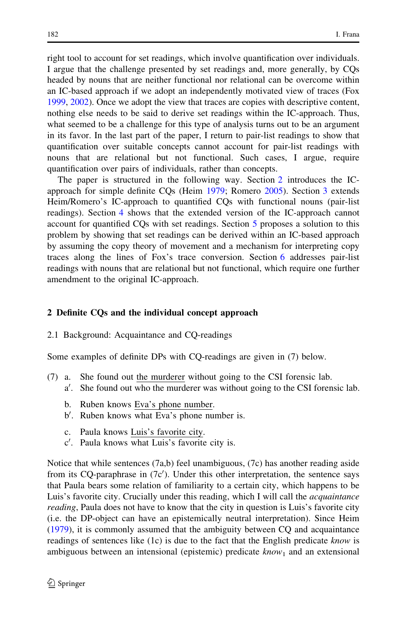<span id="page-3-0"></span>right tool to account for set readings, which involve quantification over individuals. I argue that the challenge presented by set readings and, more generally, by CQs headed by nouns that are neither functional nor relational can be overcome within an IC-based approach if we adopt an independently motivated view of traces (Fox [1999,](#page-38-0) [2002\)](#page-38-0). Once we adopt the view that traces are copies with descriptive content, nothing else needs to be said to derive set readings within the IC-approach. Thus, what seemed to be a challenge for this type of analysis turns out to be an argument in its favor. In the last part of the paper, I return to pair-list readings to show that quantification over suitable concepts cannot account for pair-list readings with nouns that are relational but not functional. Such cases, I argue, require quantification over pairs of individuals, rather than concepts.

The paper is structured in the following way. Section 2 introduces the ICapproach for simple definite CQs (Heim [1979;](#page-39-0) Romero [2005\)](#page-39-0). Section [3](#page-8-0) extends Heim/Romero's IC-approach to quantified CQs with functional nouns (pair-list readings). Section [4](#page-15-0) shows that the extended version of the IC-approach cannot account for quantified CQs with set readings. Section [5](#page-18-0) proposes a solution to this problem by showing that set readings can be derived within an IC-based approach by assuming the copy theory of movement and a mechanism for interpreting copy traces along the lines of Fox's trace conversion. Section [6](#page-27-0) addresses pair-list readings with nouns that are relational but not functional, which require one further amendment to the original IC-approach.

## 2 Definite CQs and the individual concept approach

## 2.1 Background: Acquaintance and CQ-readings

Some examples of definite DPs with CQ-readings are given in (7) below.

- (7) a. She found out the murderer without going to the CSI forensic lab.
	- a'. She found out who the murderer was without going to the CSI forensic lab.
	- b. Ruben knows Eva's phone number.
	- b'. Ruben knows what Eva's phone number is.
	- c. Paula knows Luis's favorite city.
	- c'. Paula knows what Luis's favorite city is.

Notice that while sentences  $(7a,b)$  feel unambiguous,  $(7c)$  has another reading aside from its CQ-paraphrase in  $(7c')$ . Under this other interpretation, the sentence says that Paula bears some relation of familiarity to a certain city, which happens to be Luis's favorite city. Crucially under this reading, which I will call the *acquaintance reading*, Paula does not have to know that the city in question is Luis's favorite city (i.e. the DP-object can have an epistemically neutral interpretation). Since Heim [\(1979](#page-39-0)), it is commonly assumed that the ambiguity between CQ and acquaintance readings of sentences like (1c) is due to the fact that the English predicate know is ambiguous between an intensional (epistemic) predicate  $known_1$  and an extensional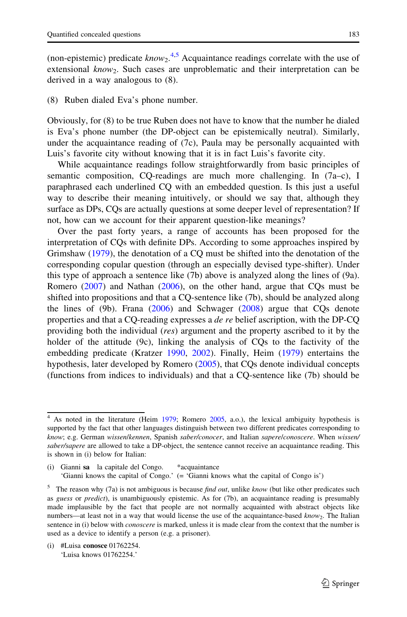(non-epistemic) predicate  $know<sub>2</sub>$ .<sup>4,5</sup> Acquaintance readings correlate with the use of extensional  $know_2$ . Such cases are unproblematic and their interpretation can be derived in a way analogous to (8).

(8) Ruben dialed Eva's phone number.

Obviously, for (8) to be true Ruben does not have to know that the number he dialed is Eva's phone number (the DP-object can be epistemically neutral). Similarly, under the acquaintance reading of  $(7c)$ , Paula may be personally acquainted with Luis's favorite city without knowing that it is in fact Luis's favorite city.

While acquaintance readings follow straightforwardly from basic principles of semantic composition, CQ-readings are much more challenging. In (7a–c), I paraphrased each underlined CQ with an embedded question. Is this just a useful way to describe their meaning intuitively, or should we say that, although they surface as DPs, CQs are actually questions at some deeper level of representation? If not, how can we account for their apparent question-like meanings?

Over the past forty years, a range of accounts has been proposed for the interpretation of CQs with definite DPs. According to some approaches inspired by Grimshaw ([1979\)](#page-38-0), the denotation of a CQ must be shifted into the denotation of the corresponding copular question (through an especially devised type-shifter). Under this type of approach a sentence like (7b) above is analyzed along the lines of (9a). Romero ([2007\)](#page-39-0) and Nathan [\(2006](#page-39-0)), on the other hand, argue that CQs must be shifted into propositions and that a CQ-sentence like (7b), should be analyzed along the lines of (9b). Frana ([2006\)](#page-38-0) and Schwager ([2008\)](#page-39-0) argue that CQs denote properties and that a CQ-reading expresses a de re belief ascription, with the DP-CQ providing both the individual (res) argument and the property ascribed to it by the holder of the attitude (9c), linking the analysis of CQs to the factivity of the embedding predicate (Kratzer [1990](#page-39-0), [2002](#page-39-0)). Finally, Heim [\(1979](#page-39-0)) entertains the hypothesis, later developed by Romero [\(2005](#page-39-0)), that CQs denote individual concepts (functions from indices to individuals) and that a CQ-sentence like (7b) should be

(i) #Luisa conosce 01762254. 'Luisa knows 01762254.'

<sup>&</sup>lt;sup>4</sup> As noted in the literature (Heim [1979](#page-39-0); Romero [2005,](#page-39-0) a.o.), the lexical ambiguity hypothesis is supported by the fact that other languages distinguish between two different predicates corresponding to know; e.g. German wissen/kennen, Spanish saber/conocer, and Italian sapere/conoscere. When wissen/ saber/sapere are allowed to take a DP-object, the sentence cannot receive an acquaintance reading. This is shown in (i) below for Italian:

<sup>(</sup>i) Gianni sa la capitale del Congo. \*acquaintance 'Gianni knows the capital of Congo.' (= 'Gianni knows what the capital of Congo is')

<sup>&</sup>lt;sup>5</sup> The reason why (7a) is not ambiguous is because *find out*, unlike *know* (but like other predicates such as guess or predict), is unambiguously epistemic. As for (7b), an acquaintance reading is presumably made implausible by the fact that people are not normally acquainted with abstract objects like numbers—at least not in a way that would license the use of the acquaintance-based know<sub>2</sub>. The Italian sentence in (i) below with *conoscere* is marked, unless it is made clear from the context that the number is used as a device to identify a person (e.g. a prisoner).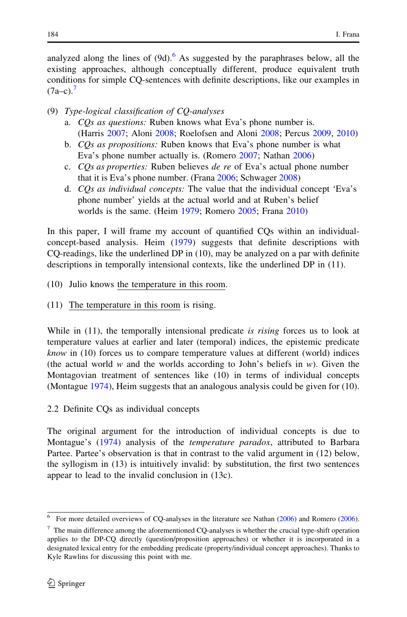<span id="page-5-0"></span>analyzed along the lines of  $(9d)$ .<sup>6</sup> As suggested by the paraphrases below, all the existing approaches, although conceptually different, produce equivalent truth conditions for simple CQ-sentences with definite descriptions, like our examples in  $(7a-c)$ .

- (9) Type-logical classification of CQ-analyses
	- a. CQs as questions: Ruben knows what Eva's phone number is. (Harris [2007;](#page-38-0) Aloni [2008;](#page-38-0) Roelofsen and Aloni [2008;](#page-39-0) Percus [2009,](#page-39-0) [2010](#page-39-0))
	- b. CQs as propositions: Ruben knows that Eva's phone number is what Eva's phone number actually is. (Romero [2007](#page-39-0); Nathan [2006\)](#page-39-0)
	- c. COs as properties: Ruben believes de re of Eva's actual phone number that it is Eva's phone number. (Frana [2006](#page-38-0); Schwager [2008\)](#page-39-0)
	- d. CQs as individual concepts: The value that the individual concept 'Eva's phone number' yields at the actual world and at Ruben's belief worlds is the same. (Heim [1979](#page-38-0); Romero [2005](#page-39-0); Frana [2010](#page-38-0))

In this paper, I will frame my account of quantified CQs within an individualconcept-based analysis. Heim ([1979\)](#page-39-0) suggests that definite descriptions with CQ-readings, like the underlined DP in (10), may be analyzed on a par with definite descriptions in temporally intensional contexts, like the underlined DP in (11).

- (10) Julio knows the temperature in this room.
- (11) The temperature in this room is rising.

While in  $(11)$ , the temporally intensional predicate is *rising* forces us to look at temperature values at earlier and later (temporal) indices, the epistemic predicate know in (10) forces us to compare temperature values at different (world) indices (the actual world w and the worlds according to John's beliefs in w). Given the Montagovian treatment of sentences like (10) in terms of individual concepts (Montague [1974](#page-39-0)), Heim suggests that an analogous analysis could be given for (10).

2.2 Definite CQs as individual concepts

The original argument for the introduction of individual concepts is due to Montague's [\(1974](#page-39-0)) analysis of the *temperature paradox*, attributed to Barbara Partee. Partee's observation is that in contrast to the valid argument in (12) below, the syllogism in (13) is intuitively invalid: by substitution, the first two sentences appear to lead to the invalid conclusion in (13c).

 $6$  For more detailed overviews of CQ-analyses in the literature see Nathan ([2006\)](#page-39-0) and Romero (2006).

 $7$  The main difference among the aforementioned CQ-analyses is whether the crucial type-shift operation applies to the DP-CQ directly (question/proposition approaches) or whether it is incorporated in a designated lexical entry for the embedding predicate (property/individual concept approaches). Thanks to Kyle Rawlins for discussing this point with me.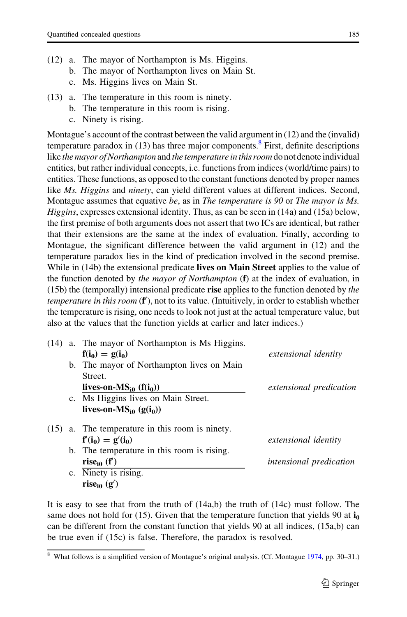- (12) a. The mayor of Northampton is Ms. Higgins.
	- b. The mayor of Northampton lives on Main St.
	- c. Ms. Higgins lives on Main St.
- (13) a. The temperature in this room is ninety.
	- b. The temperature in this room is rising.
	- c. Ninety is rising.

Montague's account of the contrast between the valid argument in (12) and the (invalid) temperature paradox in  $(13)$  has three major components.<sup>8</sup> First, definite descriptions like the mayor of Northampton and the temperature in this room do not denote individual entities, but rather individual concepts, i.e. functions from indices (world/time pairs) to entities. These functions, as opposed to the constant functions denoted by proper names like Ms. Higgins and ninety, can yield different values at different indices. Second, Montague assumes that equative be, as in The temperature is 90 or The mayor is Ms. Higgins, expresses extensional identity. Thus, as can be seen in (14a) and (15a) below, the first premise of both arguments does not assert that two ICs are identical, but rather that their extensions are the same at the index of evaluation. Finally, according to Montague, the significant difference between the valid argument in (12) and the temperature paradox lies in the kind of predication involved in the second premise. While in (14b) the extensional predicate **lives on Main Street** applies to the value of the function denoted by *the mayor of Northampton*  $(f)$  at the index of evaluation, in  $(15b)$  the (temporally) intensional predicate rise applies to the function denoted by *the* temperature in this room (f'), not to its value. (Intuitively, in order to establish whether the temperature is rising, one needs to look not just at the actual temperature value, but also at the values that the function yields at earlier and later indices.)

| (14) | a. The mayor of Northampton is Ms Higgins. |                                |
|------|--------------------------------------------|--------------------------------|
|      | $f(i_0) = g(i_0)$                          | extensional identity           |
|      | b. The mayor of Northampton lives on Main  |                                |
|      | Street.                                    |                                |
|      | lives-on- $MS_{i0}$ (f(i <sub>0</sub> ))   | <i>extensional predication</i> |
|      | c. Ms Higgins lives on Main Street.        |                                |
|      | lives-on-MS <sub>i0</sub> $(g(i_0))$       |                                |
| (15) | a. The temperature in this room is ninety. |                                |
|      | $f'(i_0) = g'(i_0)$                        | <i>extensional identity</i>    |
|      | b. The temperature in this room is rising. |                                |
|      | rise <sub>i0</sub> (f')                    | <i>intensional predication</i> |
|      | c. Ninety is rising.                       |                                |
|      | rise <sub>i0</sub> (g')                    |                                |

It is easy to see that from the truth of  $(14a,b)$  the truth of  $(14c)$  must follow. The same does not hold for (15). Given that the temperature function that yields 90 at  $\mathbf{i}_0$ can be different from the constant function that yields 90 at all indices, (15a,b) can be true even if (15c) is false. Therefore, the paradox is resolved.

<sup>8</sup> What follows is a simplified version of Montague's original analysis. (Cf. Montague [1974,](#page-39-0) pp. 30–31.)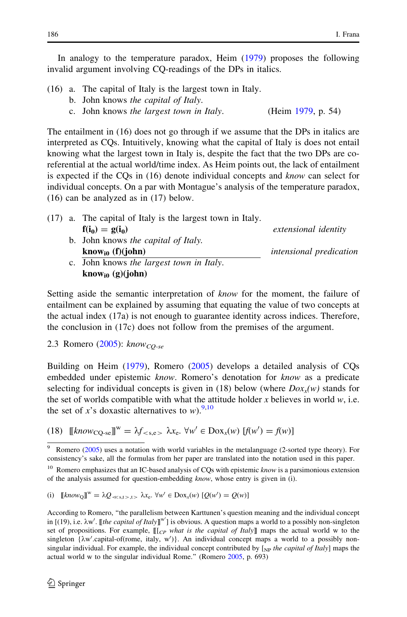In analogy to the temperature paradox, Heim [\(1979](#page-39-0)) proposes the following invalid argument involving CQ-readings of the DPs in italics.

- (16) a. The capital of Italy is the largest town in Italy.
	- b. John knows the capital of Italy.
	- c. John knows the largest town in Italy. (Heim [1979](#page-39-0), p. 54)

The entailment in (16) does not go through if we assume that the DPs in italics are interpreted as CQs. Intuitively, knowing what the capital of Italy is does not entail knowing what the largest town in Italy is, despite the fact that the two DPs are coreferential at the actual world/time index. As Heim points out, the lack of entailment is expected if the CQs in (16) denote individual concepts and know can select for individual concepts. On a par with Montague's analysis of the temperature paradox, (16) can be analyzed as in (17) below.

(17) a. The capital of Italy is the largest town in Italy.  $f(i_0) = g(i_0)$  extensional identity b. John knows the capital of Italy. know<sub>i0</sub> (f)(john) intensional predication c. John knows the largest town in Italy. know<sub>i0</sub> (g)(john)

Setting aside the semantic interpretation of know for the moment, the failure of entailment can be explained by assuming that equating the value of two concepts at the actual index (17a) is not enough to guarantee identity across indices. Therefore, the conclusion in (17c) does not follow from the premises of the argument.

2.3 Romero [\(2005](#page-39-0)):  $know_{CO-se}$ 

Building on Heim ([1979\)](#page-39-0), Romero ([2005\)](#page-39-0) develops a detailed analysis of CQs embedded under epistemic know. Romero's denotation for know as a predicate selecting for individual concepts is given in (18) below (where  $D\alpha_x(w)$  stands for the set of worlds compatible with what the attitude holder x believes in world  $w$ , i.e. the set of x's doxastic alternatives to w).  $9,10$ 

(18)  $[[know_{CQ-se}]]^{w} = \lambda f_{< s,e>} \lambda x_{e}. \forall w' \in Dox_{x}(w) [f(w') = f(w)]$ 

(i)  $[\![\text{known}_Q]\!]^w = \lambda Q_{\ll s,t>,t>} \lambda x_e. \ \forall w' \in \text{Dox}_x(w) \ [\mathcal{Q}(w') = \mathcal{Q}(w)]$ 

<sup>&</sup>lt;sup>9</sup> Romero ([2005](#page-39-0)) uses a notation with world variables in the metalanguage (2-sorted type theory). For consistency's sake, all the formulas from her paper are translated into the notation used in this paper.

<sup>&</sup>lt;sup>10</sup> Romero emphasizes that an IC-based analysis of CQs with epistemic know is a parsimonious extension of the analysis assumed for question-embedding know, whose entry is given in (i).

According to Romero, ''the parallelism between Karttunen's question meaning and the individual concept in [(19), i.e.  $\lambda w'$ . [[the capital of Italy]]<sup>w'</sup>] is obvious. A question maps a world to a possibly non-singleton set of propositions. For example,  $\llbracket c_P \text{ what is the capital of Italy} \rrbracket$  maps the actual world w to the singleton  $\{\lambda w'.\text{capital-of}(rome, \text{italy}, w')\}$ . An individual concept maps a world to a possibly nonsingular individual. For example, the individual concept contributed by  $\left[\chi_{\text{NP}}\right]$  the capital of Italy] maps the actual world w to the singular individual Rome.'' (Romero [2005,](#page-39-0) p. 693)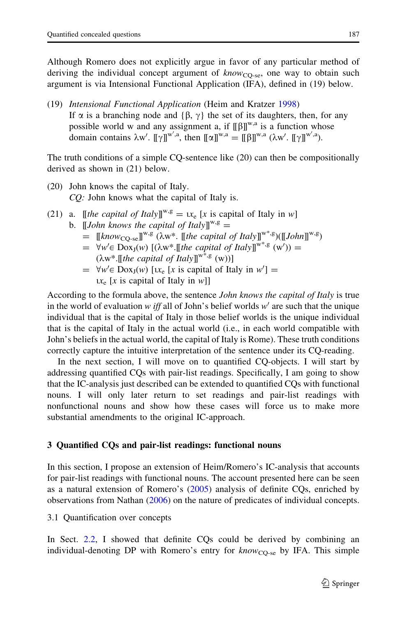<span id="page-8-0"></span>Although Romero does not explicitly argue in favor of any particular method of deriving the individual concept argument of  $\textit{know}_{\text{CO-se}}$ , one way to obtain such argument is via Intensional Functional Application (IFA), defined in (19) below.

(19) Intensional Functional Application (Heim and Kratzer [1998](#page-38-0)) If  $\alpha$  is a branching node and { $\beta$ ,  $\gamma$ } the set of its daughters, then, for any possible world w and any assignment a, if  $[[\beta]]^{w,a}$  is a function whose domain contains  $\lambda w'$ .  $[\![\gamma]\!]^{w',a}$ , then  $[\![\alpha]\!]^{w,a} = [\![\beta]\!]^{w,a}$   $(\lambda w'$ .  $[\![\gamma]\!]^{w',a}$ ).

The truth conditions of a simple CQ-sentence like (20) can then be compositionally derived as shown in (21) below.

- (20) John knows the capital of Italy. CQ: John knows what the capital of Italy is.
- (21) a. [*[the capital of Italy*]]<sup>*w*,  $g = \mu_e$  [x is capital of Italy in w]</sup> b. [*John knows the capital of Italy*]]<sup>*w*,g</sup> =
	- $=$  [[know<sub>CO-se</sub>]]<sup>w,g</sup> ( $\lambda w^*$ . [[the capital of Italy]]<sup>w\*,g</sup>)([[John]]<sup>w,g</sup>)
	- =  $\forall w' \in \text{Dox}_{J}(w)$  [( $\lambda w^*$ . [[the capital of Italy]]<sup>w\*,g</sup> (w')) =  $(\lambda w^*$ . [[the capital of Italy]]<sup>w\*,g</sup> (w))]
	- $= \forall w' \in \text{Dox}_J(w)$  [ $x_e$  [x is capital of Italy in  $w'$ ] =  $ix_e$  [x is capital of Italy in w]]

According to the formula above, the sentence *John knows the capital of Italy* is true in the world of evaluation w iff all of John's belief worlds w' are such that the unique individual that is the capital of Italy in those belief worlds is the unique individual that is the capital of Italy in the actual world (i.e., in each world compatible with John's beliefs in the actual world, the capital of Italy is Rome). These truth conditions correctly capture the intuitive interpretation of the sentence under its CQ-reading.

In the next section, I will move on to quantified CQ-objects. I will start by addressing quantified CQs with pair-list readings. Specifically, I am going to show that the IC-analysis just described can be extended to quantified CQs with functional nouns. I will only later return to set readings and pair-list readings with nonfunctional nouns and show how these cases will force us to make more substantial amendments to the original IC-approach.

## 3 Quantified CQs and pair-list readings: functional nouns

In this section, I propose an extension of Heim/Romero's IC-analysis that accounts for pair-list readings with functional nouns. The account presented here can be seen as a natural extension of Romero's [\(2005](#page-39-0)) analysis of definite CQs, enriched by observations from Nathan [\(2006](#page-39-0)) on the nature of predicates of individual concepts.

3.1 Quantification over concepts

In Sect. [2.2,](#page-5-0) I showed that definite CQs could be derived by combining an individual-denoting DP with Romero's entry for  $know_{CO-se}$  by IFA. This simple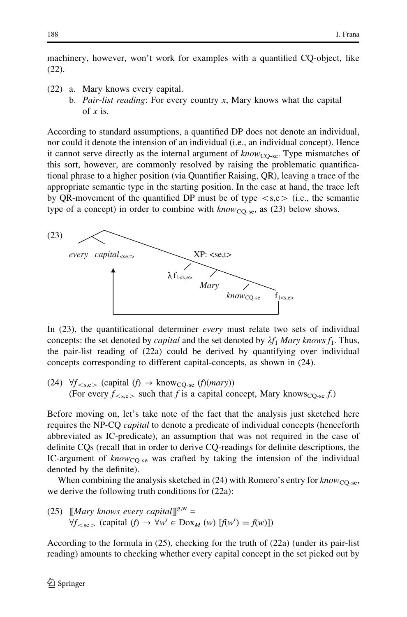machinery, however, won't work for examples with a quantified CQ-object, like (22).

- (22) a. Mary knows every capital.
	- b. Pair-list reading: For every country  $x$ , Mary knows what the capital of  $x$  is.

According to standard assumptions, a quantified DP does not denote an individual, nor could it denote the intension of an individual (i.e., an individual concept). Hence it cannot serve directly as the internal argument of  $know_{CO-se}$ . Type mismatches of this sort, however, are commonly resolved by raising the problematic quantificational phrase to a higher position (via Quantifier Raising, QR), leaving a trace of the appropriate semantic type in the starting position. In the case at hand, the trace left by QR-movement of the quantified DP must be of type  $\langle s,e \rangle$  (i.e., the semantic type of a concept) in order to combine with  $know_{CO-se}$ , as (23) below shows.



In (23), the quantificational determiner *every* must relate two sets of individual concepts: the set denoted by *capital* and the set denoted by  $\lambda f_1$  Mary knows  $f_1$ . Thus, the pair-list reading of (22a) could be derived by quantifying over individual concepts corresponding to different capital-concepts, as shown in (24).

(24)  $\forall f_{\leq s,e}$  (capital  $(f) \rightarrow \text{know}_{CQ\text{-se}} (f)(mary)$ ) (For every  $f_{\text{>}$  such that f is a capital concept, Mary knows<sub>CQ-se</sub> f.)

Before moving on, let's take note of the fact that the analysis just sketched here requires the NP-CQ *capital* to denote a predicate of individual concepts (henceforth abbreviated as IC-predicate), an assumption that was not required in the case of definite CQs (recall that in order to derive CQ-readings for definite descriptions, the IC-argument of  $know_{\text{CO-se}}$  was crafted by taking the intension of the individual denoted by the definite).

When combining the analysis sketched in  $(24)$  with Romero's entry for know<sub>CO-se</sub>, we derive the following truth conditions for (22a):

(25) 
$$
[[Mary \; knows \; every \; capital]]^{g,w} = \forall f_{< se} \; (capital \; (f) \rightarrow \forall w' \in Dox_M \; (w) \; [f(w') = f(w)])
$$

According to the formula in (25), checking for the truth of (22a) (under its pair-list reading) amounts to checking whether every capital concept in the set picked out by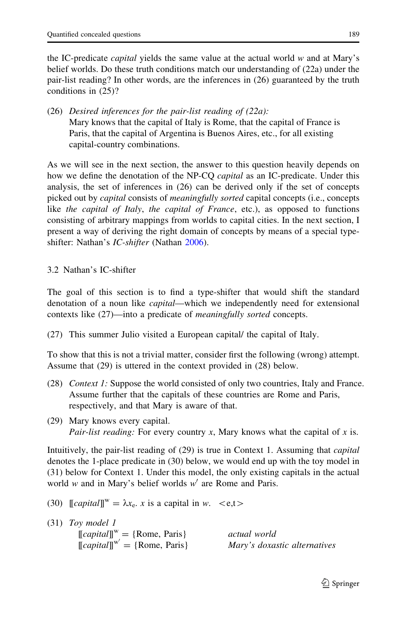the IC-predicate capital yields the same value at the actual world w and at Mary's belief worlds. Do these truth conditions match our understanding of (22a) under the pair-list reading? In other words, are the inferences in (26) guaranteed by the truth conditions in (25)?

(26) Desired inferences for the pair-list reading of (22a): Mary knows that the capital of Italy is Rome, that the capital of France is Paris, that the capital of Argentina is Buenos Aires, etc., for all existing capital-country combinations.

As we will see in the next section, the answer to this question heavily depends on how we define the denotation of the NP-CQ *capital* as an IC-predicate. Under this analysis, the set of inferences in (26) can be derived only if the set of concepts picked out by capital consists of meaningfully sorted capital concepts (i.e., concepts like the capital of Italy, the capital of France, etc.), as opposed to functions consisting of arbitrary mappings from worlds to capital cities. In the next section, I present a way of deriving the right domain of concepts by means of a special typeshifter: Nathan's *IC-shifter* (Nathan [2006\)](#page-39-0).

3.2 Nathan's IC-shifter

The goal of this section is to find a type-shifter that would shift the standard denotation of a noun like *capital*—which we independently need for extensional contexts like (27)—into a predicate of meaningfully sorted concepts.

(27) This summer Julio visited a European capital/ the capital of Italy.

To show that this is not a trivial matter, consider first the following (wrong) attempt. Assume that (29) is uttered in the context provided in (28) below.

- (28) Context 1: Suppose the world consisted of only two countries, Italy and France. Assume further that the capitals of these countries are Rome and Paris, respectively, and that Mary is aware of that.
- (29) Mary knows every capital. Pair-list reading: For every country x, Mary knows what the capital of x is.

Intuitively, the pair-list reading of (29) is true in Context 1. Assuming that capital denotes the 1-place predicate in (30) below, we would end up with the toy model in (31) below for Context 1. Under this model, the only existing capitals in the actual world w and in Mary's belief worlds  $w'$  are Rome and Paris.

(30)  $\left[\text{capital}\right]^w = \lambda x_e$ . x is a capital in w.  $\langle e,t \rangle$ 

(31) Toy model 1  $[[capital]]<sup>w</sup> = {Rome, Paris}$  *actual world*  $[[capital]]^{w'} = {Rome, Paris}$ Mary's doxastic alternatives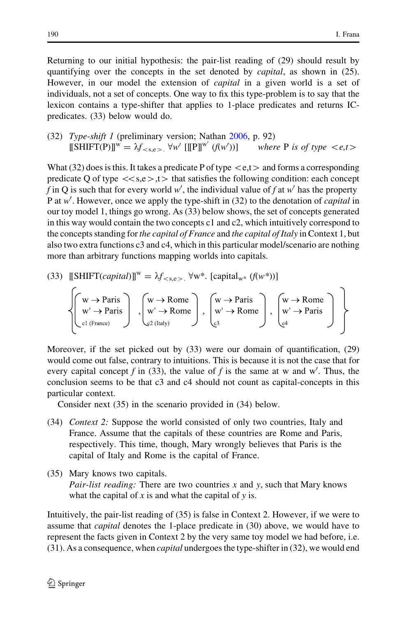Returning to our initial hypothesis: the pair-list reading of (29) should result by quantifying over the concepts in the set denoted by *capital*, as shown in (25). However, in our model the extension of *capital* in a given world is a set of individuals, not a set of concepts. One way to fix this type-problem is to say that the lexicon contains a type-shifter that applies to 1-place predicates and returns ICpredicates. (33) below would do.

(32) Type-shift 1 (preliminary version; Nathan [2006](#page-39-0), p. 92)  $\llbracket \text{SHIFT}(P) \rrbracket^w = \lambda f_{< s, e>} \forall w' \; [\llbracket P \rrbracket^{w'} \; (f(w')$ where P is of type  $\langle e,t \rangle$ 

What (32) does is this. It takes a predicate P of type  $\lt e,t$  and forms a corresponding predicate Q of type  $\langle\,\langle s,e\rangle\,\rangle$ , t $\rangle$  that satisfies the following condition: each concept f in Q is such that for every world w', the individual value of f at w' has the property P at w'. However, once we apply the type-shift in (32) to the denotation of *capital* in our toy model 1, things go wrong. As (33) below shows, the set of concepts generated in this way would contain the two concepts  $c1$  and  $c2$ , which intuitively correspond to the concepts standing for the capital of France and the capital of Italy in Context 1, but also two extra functions c3 and c4, which in this particular model/scenario are nothing more than arbitrary functions mapping worlds into capitals.

(33) 
$$
[[\text{SHIFT}(capital)]^{w} = \lambda f_{< s, e>} \forall w^*
$$
.  $[capital_{w^*} (f(w^*))]$ 

$$
\left\{\!\!\!\left(\!\begin{array}{c}\mathbf{w}\!\rightarrow\! \mathsf{Paris}\\\mathbf{w}'\!\rightarrow\! \mathsf{Paris}\\\mathsf{cl}\left(\mathsf{France}\right)\end{array}\!\!\!\right\},\left\{\!\!\!\left(\!\begin{array}{c}\mathbf{w}\!\rightarrow\! \mathsf{Rome}\\\mathbf{w}'\!\rightarrow\! \mathsf{Rome}\\\mathsf{c}\mathsf{2}\left(\mathsf{Italy}\right)\end{array}\!\!\!\right\},\left\{\!\!\!\left(\!\begin{array}{c}\mathbf{w}\!\rightarrow\! \mathsf{Paris}\\\mathsf{w}'\!\rightarrow\! \mathsf{Rome}\\\mathsf{c}\mathsf{3}\end{array}\!\!\!\right\},\left\{\!\!\!\left(\!\begin{array}{c}\mathbf{w}\!\rightarrow\! \mathsf{Rome}\\\mathsf{w}'\!\rightarrow\! \mathsf{Paris}\\\mathsf{c}\mathsf{4}\end{array}\!\!\!\right\}\right\}
$$

Moreover, if the set picked out by (33) were our domain of quantification, (29) would come out false, contrary to intuitions. This is because it is not the case that for every capital concept f in (33), the value of f is the same at w and w'. Thus, the conclusion seems to be that c3 and c4 should not count as capital-concepts in this particular context.

Consider next (35) in the scenario provided in (34) below.

- (34) Context 2: Suppose the world consisted of only two countries, Italy and France. Assume that the capitals of these countries are Rome and Paris, respectively. This time, though, Mary wrongly believes that Paris is the capital of Italy and Rome is the capital of France.
- (35) Mary knows two capitals. *Pair-list reading:* There are two countries  $x$  and  $y$ , such that Mary knows what the capital of x is and what the capital of  $y$  is.

Intuitively, the pair-list reading of (35) is false in Context 2. However, if we were to assume that *capital* denotes the 1-place predicate in (30) above, we would have to represent the facts given in Context 2 by the very same toy model we had before, i.e. (31). As a consequence, when *capital* undergoes the type-shifter in (32), we would end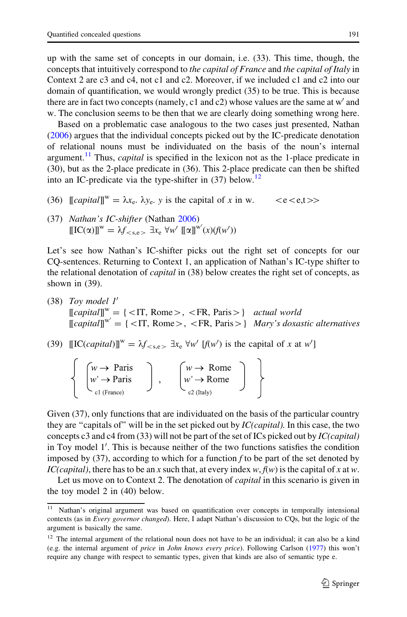up with the same set of concepts in our domain, i.e. (33). This time, though, the concepts that intuitively correspond to the capital of France and the capital of Italy in Context 2 are c3 and c4, not c1 and c2. Moreover, if we included c1 and c2 into our domain of quantification, we would wrongly predict (35) to be true. This is because there are in fact two concepts (namely, c1 and c2) whose values are the same at  $w'$  and w. The conclusion seems to be then that we are clearly doing something wrong here.

Based on a problematic case analogous to the two cases just presented, Nathan [\(2006](#page-39-0)) argues that the individual concepts picked out by the IC-predicate denotation of relational nouns must be individuated on the basis of the noun's internal argument.<sup>11</sup> Thus, *capital* is specified in the lexicon not as the 1-place predicate in (30), but as the 2-place predicate in (36). This 2-place predicate can then be shifted into an IC-predicate via the type-shifter in  $(37)$  below.<sup>12</sup>

- (36)  $\left[\text{Capital}\right]^w = \lambda x_e$ .  $\lambda y_e$ . y is the capital of x in w.  $\langle e \langle e,t \rangle \rangle$
- (37) Nathan's IC-shifter (Nathan [2006](#page-39-0))  $\llbracket \text{IC}(\alpha) \rrbracket^w = \lambda f_{\langle s,e \rangle} \exists x_e \,\forall w' \, \llbracket \alpha \rrbracket^{w'}(x) (f(w'))$

Let's see how Nathan's IC-shifter picks out the right set of concepts for our CQ-sentences. Returning to Context 1, an application of Nathan's IC-type shifter to the relational denotation of *capital* in (38) below creates the right set of concepts, as shown in (39).

- (38) Toy model  $1'$  $[[capital]]^w = {\text{ST}, Rome>}$ ,  $\text{FR}, \text{Paris}>$  actual world  $[[capital]]^{w'} = {\{\langle \text{IT, Rome}\rangle, \langle \text{FR, Paris}\rangle\}}$  Mary's doxastic alternatives
- (39)  $\llbracket \text{IC}(capital) \rrbracket^w = \lambda f_{< s, e} \exists x_e \forall w' \; [f(w') \text{ is the capital of } x \text{ at } w']$

| $w \rightarrow$ Paris  | $w \rightarrow \text{Rome}$  |  |
|------------------------|------------------------------|--|
| $w' \rightarrow$ Paris | $w' \rightarrow \text{Rome}$ |  |
| $\sim$ c1 (France)     | $c2$ (Italy)                 |  |

Given (37), only functions that are individuated on the basis of the particular country they are "capitals of" will be in the set picked out by  $IC(capital)$ . In this case, the two concepts c3 and c4 from (33) will not be part of the set of ICs picked out by  $IC(capital)$ in Toy model 1'. This is because neither of the two functions satisfies the condition imposed by  $(37)$ , according to which for a function f to be part of the set denoted by IC(capital), there has to be an x such that, at every index w,  $f(w)$  is the capital of x at w.

Let us move on to Context 2. The denotation of *capital* in this scenario is given in the toy model 2 in (40) below.

Nathan's original argument was based on quantification over concepts in temporally intensional contexts (as in Every governor changed). Here, I adapt Nathan's discussion to CQs, but the logic of the argument is basically the same.

<sup>&</sup>lt;sup>12</sup> The internal argument of the relational noun does not have to be an individual; it can also be a kind (e.g. the internal argument of price in John knows every price). Following Carlson [\(1977](#page-38-0)) this won't require any change with respect to semantic types, given that kinds are also of semantic type e.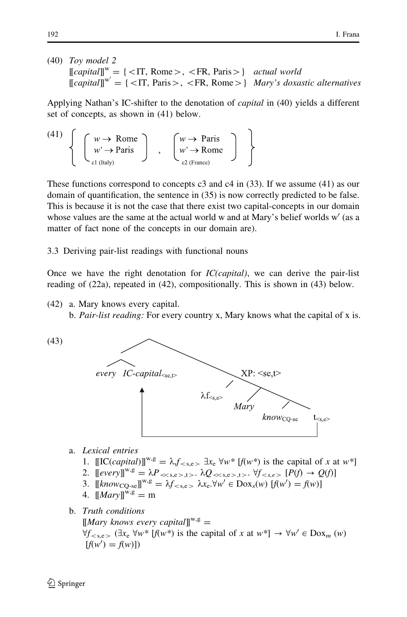(40) Toy model 2  $[[capital]]^w = {\{\langle \text{IT}, \text{Rome}\rangle, \langle \text{FR}, \text{Paris}\rangle\}}$  actual world  $[[capital]]^{w'} = {\{\langle \text{IT, Paris}\rangle, \langle \text{FR, Rome}\rangle\}}$  Mary's doxastic alternatives

Applying Nathan's IC-shifter to the denotation of capital in (40) yields a different set of concepts, as shown in (41) below.

(41) 
$$
\left\{ \begin{array}{c} w \to \text{Rome} \\ w' \to \text{Paris} \\ c_1 \text{ (taly)} \end{array} \right\} , \quad \left\{ \begin{array}{c} w \to \text{Paris} \\ w' \to \text{Rome} \\ c_2 \text{ (France)} \end{array} \right\}
$$

These functions correspond to concepts  $c3$  and  $c4$  in (33). If we assume (41) as our domain of quantification, the sentence in (35) is now correctly predicted to be false. This is because it is not the case that there exist two capital-concepts in our domain whose values are the same at the actual world w and at Mary's belief worlds  $w'$  (as a matter of fact none of the concepts in our domain are).

3.3 Deriving pair-list readings with functional nouns

Once we have the right denotation for  $IC(capital)$ , we can derive the pair-list reading of (22a), repeated in (42), compositionally. This is shown in (43) below.

- (42) a. Mary knows every capital.
	- b. Pair-list reading: For every country x, Mary knows what the capital of x is.

(43)



- a. Lexical entries
	- 1.  $[[[[[[[[(]]]]^{W,g} = \lambda, f_{\leq s,e}]\, \exists x_e \, \forall w^* \, [f(w^*)]$  is the capital of x at w<sup>\*</sup>]
	- 2.  $[[every]]^{w,g} = \lambda P_{\ll s,e>,t>}$ .  $\lambda Q_{\ll s,e>,t>}$ .  $\forall f_{\ll s,e>}$   $[P(f) \rightarrow Q(f)]$
	- 3.  $[[know_{\text{CQ-se}}]]^{w,g} = \lambda f_{\text{&}< s,e} \lambda x_e. \forall w' \in \text{Dox}_x(w) [f(w') = f(w)]$
	- 4.  $[Marv]^{w,g} = m$

b. Truth conditions

 $[Mary$  knows every capital $\mathbb{I}^{\mathbf{w},\mathbf{g}}$  =  $\forall f_{\leq s.e>}$  ( $\exists x_e \forall w^*$  [ $f(w^*)$ ) is the capital of x at  $w^*$ ]  $\rightarrow \forall w' \in \text{Dox}_m (w)$  $[f(w') = f(w)]$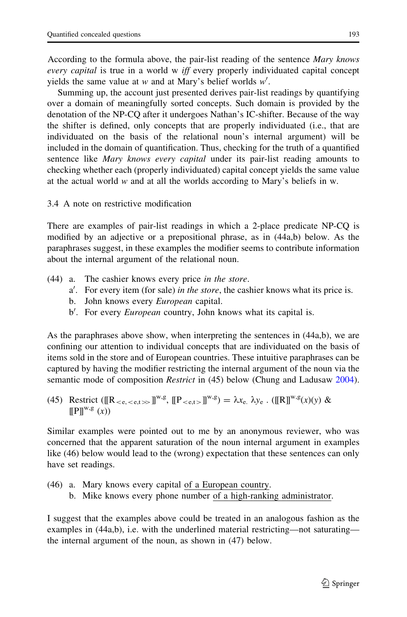According to the formula above, the pair-list reading of the sentence Mary knows every capital is true in a world w *iff* every properly individuated capital concept yields the same value at w and at Mary's belief worlds  $w'$ .

Summing up, the account just presented derives pair-list readings by quantifying over a domain of meaningfully sorted concepts. Such domain is provided by the denotation of the NP-CQ after it undergoes Nathan's IC-shifter. Because of the way the shifter is defined, only concepts that are properly individuated (i.e., that are individuated on the basis of the relational noun's internal argument) will be included in the domain of quantification. Thus, checking for the truth of a quantified sentence like *Mary knows every capital* under its pair-list reading amounts to checking whether each (properly individuated) capital concept yields the same value at the actual world w and at all the worlds according to Mary's beliefs in w.

3.4 A note on restrictive modification

There are examples of pair-list readings in which a 2-place predicate NP-CQ is modified by an adjective or a prepositional phrase, as in (44a,b) below. As the paraphrases suggest, in these examples the modifier seems to contribute information about the internal argument of the relational noun.

- (44) a. The cashier knows every price in the store.
	- a'. For every item (for sale) in the store, the cashier knows what its price is.
	- b. John knows every *European* capital.
	- b'. For every European country, John knows what its capital is.

As the paraphrases above show, when interpreting the sentences in (44a,b), we are confining our attention to individual concepts that are individuated on the basis of items sold in the store and of European countries. These intuitive paraphrases can be captured by having the modifier restricting the internal argument of the noun via the semantic mode of composition *Restrict* in (45) below (Chung and Ladusaw [2004\)](#page-38-0).

(45) Restrict (
$$
[[R_{}\supseteq]]^{w,g}
$$
,  $[[P_{}\supseteq]]^{w,g}) = \lambda x_e$ .  $\lambda y_e$ . ( $[[R]]^{w,g}(x)(y) \& [[P]]^{w,g}(x))$ 

Similar examples were pointed out to me by an anonymous reviewer, who was concerned that the apparent saturation of the noun internal argument in examples like (46) below would lead to the (wrong) expectation that these sentences can only have set readings.

(46) a. Mary knows every capital of a European country. b. Mike knows every phone number of a high-ranking administrator.

I suggest that the examples above could be treated in an analogous fashion as the examples in (44a,b), i.e. with the underlined material restricting—not saturating the internal argument of the noun, as shown in (47) below.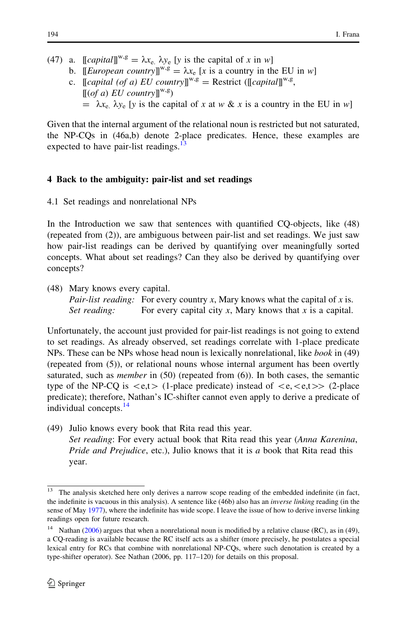- <span id="page-15-0"></span>(47) a.  $[[capital]]^{w,g} = \lambda x_e$ ,  $\lambda y_e$  [y is the capital of x in w]
	- b. *[European country*]]<sup>*w*,g</sup> =  $\lambda x_e$  [x is a country in the EU in w]
	- c.  $\left[\text{Capital } (of a) \text{ EU country} \right]^{w,g} = \text{Restrict } (\left[\text{[capital]} \right]^{w,g},$  $[(of a) EU country]^{w,g}$  $= \lambda x_e$ .  $\lambda y_e$  [y is the capital of x at w & x is a country in the EU in w]

Given that the internal argument of the relational noun is restricted but not saturated, the NP-CQs in (46a,b) denote 2-place predicates. Hence, these examples are expected to have pair-list readings. $13$ 

# 4 Back to the ambiguity: pair-list and set readings

4.1 Set readings and nonrelational NPs

In the Introduction we saw that sentences with quantified CQ-objects, like (48) (repeated from (2)), are ambiguous between pair-list and set readings. We just saw how pair-list readings can be derived by quantifying over meaningfully sorted concepts. What about set readings? Can they also be derived by quantifying over concepts?

(48) Mary knows every capital. *Pair-list reading:* For every country x, Mary knows what the capital of x is. Set reading: For every capital city x, Mary knows that x is a capital.

Unfortunately, the account just provided for pair-list readings is not going to extend to set readings. As already observed, set readings correlate with 1-place predicate NPs. These can be NPs whose head noun is lexically nonrelational, like *book* in (49) (repeated from (5)), or relational nouns whose internal argument has been overtly saturated, such as *member* in  $(50)$  (repeated from  $(6)$ ). In both cases, the semantic type of the NP-CQ is  $\langle e,t \rangle$  (1-place predicate) instead of  $\langle e,\langle e,t \rangle$  (2-place predicate); therefore, Nathan's IC-shifter cannot even apply to derive a predicate of individual concepts.<sup>14</sup>

(49) Julio knows every book that Rita read this year.

Set reading: For every actual book that Rita read this year (Anna Karenina, Pride and Prejudice, etc.), Julio knows that it is a book that Rita read this year.

 $13$  The analysis sketched here only derives a narrow scope reading of the embedded indefinite (in fact, the indefinite is vacuous in this analysis). A sentence like (46b) also has an inverse linking reading (in the sense of May [1977\)](#page-39-0), where the indefinite has wide scope. I leave the issue of how to derive inverse linking readings open for future research.

Nathan  $(2006)$  $(2006)$  argues that when a nonrelational noun is modified by a relative clause (RC), as in (49), a CQ-reading is available because the RC itself acts as a shifter (more precisely, he postulates a special lexical entry for RCs that combine with nonrelational NP-CQs, where such denotation is created by a type-shifter operator). See Nathan (2006, pp. 117–120) for details on this proposal.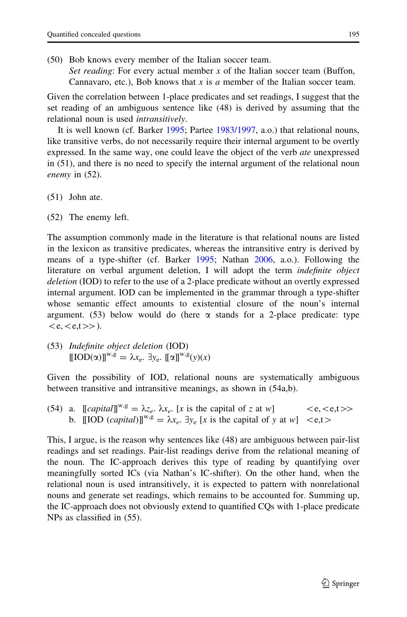(50) Bob knows every member of the Italian soccer team. Set reading: For every actual member  $x$  of the Italian soccer team (Buffon, Cannavaro, etc.), Bob knows that x is a member of the Italian soccer team.

Given the correlation between 1-place predicates and set readings, I suggest that the set reading of an ambiguous sentence like (48) is derived by assuming that the relational noun is used *intransitively*.

It is well known (cf. Barker [1995](#page-38-0); Partee [1983/1997](#page-39-0), a.o.) that relational nouns, like transitive verbs, do not necessarily require their internal argument to be overtly expressed. In the same way, one could leave the object of the verb *ate* unexpressed in (51), and there is no need to specify the internal argument of the relational noun enemy in (52).

- (51) John ate.
- (52) The enemy left.

The assumption commonly made in the literature is that relational nouns are listed in the lexicon as transitive predicates, whereas the intransitive entry is derived by means of a type-shifter (cf. Barker [1995](#page-38-0); Nathan [2006,](#page-39-0) a.o.). Following the literature on verbal argument deletion, I will adopt the term indefinite object deletion (IOD) to refer to the use of a 2-place predicate without an overtly expressed internal argument. IOD can be implemented in the grammar through a type-shifter whose semantic effect amounts to existential closure of the noun's internal argument. (53) below would do (here  $\alpha$  stands for a 2-place predicate: type  $\langle e,\langle e,t\rangle \rangle$ ).

(53) Indefinite object deletion (IOD)  $[[IOD(\alpha)]^{w,g} = \lambda x_{e}$ .  $\exists y_{e}$ .  $[[\alpha]]^{w,g}(y)(x)$ 

Given the possibility of IOD, relational nouns are systematically ambiguous between transitive and intransitive meanings, as shown in (54a,b).

(54) a.  $[[capital]]^{w,g} = \lambda z_e$ .  $\lambda x_e$ . [x is the capital of z at w]  $\langle e, \langle e,t \rangle \rangle$ b.  $\llbracket \text{IOD}(\text{capital}) \rrbracket^{w,g} = \lambda x_e$ .  $\exists y_e \llbracket x \text{ is the capital of } y \text{ at } w \rrbracket \leq e,t$ 

This, I argue, is the reason why sentences like (48) are ambiguous between pair-list readings and set readings. Pair-list readings derive from the relational meaning of the noun. The IC-approach derives this type of reading by quantifying over meaningfully sorted ICs (via Nathan's IC-shifter). On the other hand, when the relational noun is used intransitively, it is expected to pattern with nonrelational nouns and generate set readings, which remains to be accounted for. Summing up, the IC-approach does not obviously extend to quantified CQs with 1-place predicate NPs as classified in (55).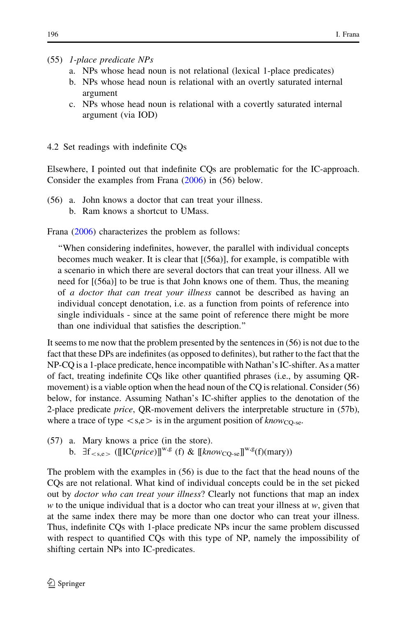# (55) 1-place predicate NPs

- a. NPs whose head noun is not relational (lexical 1-place predicates)
- b. NPs whose head noun is relational with an overtly saturated internal argument
- c. NPs whose head noun is relational with a covertly saturated internal argument (via IOD)
- 4.2 Set readings with indefinite CQs

Elsewhere, I pointed out that indefinite CQs are problematic for the IC-approach. Consider the examples from Frana [\(2006](#page-38-0)) in (56) below.

- (56) a. John knows a doctor that can treat your illness.
	- b. Ram knows a shortcut to UMass.

Frana [\(2006](#page-38-0)) characterizes the problem as follows:

''When considering indefinites, however, the parallel with individual concepts becomes much weaker. It is clear that [(56a)], for example, is compatible with a scenario in which there are several doctors that can treat your illness. All we need for [(56a)] to be true is that John knows one of them. Thus, the meaning of a doctor that can treat your illness cannot be described as having an individual concept denotation, i.e. as a function from points of reference into single individuals - since at the same point of reference there might be more than one individual that satisfies the description.''

It seems to me now that the problem presented by the sentences in (56) is not due to the fact that these DPs are indefinites (as opposed to definites), but rather to the fact that the NP-CQ is a 1-place predicate, hence incompatible with Nathan's IC-shifter. As a matter of fact, treating indefinite CQs like other quantified phrases (i.e., by assuming QRmovement) is a viable option when the head noun of the CQ is relational. Consider (56) below, for instance. Assuming Nathan's IC-shifter applies to the denotation of the 2-place predicate *price*, QR-movement delivers the interpretable structure in (57b), where a trace of type  $\langle s,e \rangle$  is in the argument position of know<sub>CO-se</sub>.

(57) a. Mary knows a price (in the store). b.  $H_{\leq s,e}$  ([[IC(price)]]<sup>w,g</sup> (f) & [[know<sub>CO-se</sub>]]<sup>w,g</sup>(f)(mary))

The problem with the examples in (56) is due to the fact that the head nouns of the CQs are not relational. What kind of individual concepts could be in the set picked out by *doctor who can treat your illness*? Clearly not functions that map an index  $w$  to the unique individual that is a doctor who can treat your illness at  $w$ , given that at the same index there may be more than one doctor who can treat your illness. Thus, indefinite CQs with 1-place predicate NPs incur the same problem discussed with respect to quantified CQs with this type of NP, namely the impossibility of shifting certain NPs into IC-predicates.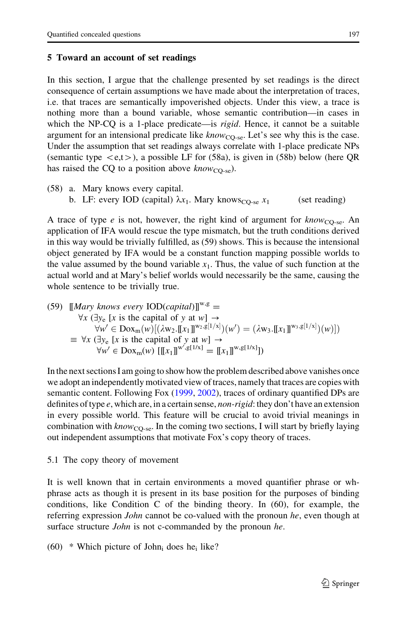## <span id="page-18-0"></span>5 Toward an account of set readings

In this section, I argue that the challenge presented by set readings is the direct consequence of certain assumptions we have made about the interpretation of traces, i.e. that traces are semantically impoverished objects. Under this view, a trace is nothing more than a bound variable, whose semantic contribution—in cases in which the NP-CQ is a 1-place predicate—is *rigid*. Hence, it cannot be a suitable argument for an intensional predicate like  $know_{CO-se}$ . Let's see why this is the case. Under the assumption that set readings always correlate with 1-place predicate NPs (semantic type  $\lt e,t$ ), a possible LF for (58a), is given in (58b) below (here QR has raised the CQ to a position above  $know_{CO-se}$ ).

(58) a. Mary knows every capital. b. LF: every IOD (capital)  $\lambda x_1$ . Mary knows<sub>CO-se</sub>  $x_1$  (set reading)

A trace of type e is not, however, the right kind of argument for  $\text{know}_{\text{CO-Se}}$ . An application of IFA would rescue the type mismatch, but the truth conditions derived in this way would be trivially fulfilled, as (59) shows. This is because the intensional object generated by IFA would be a constant function mapping possible worlds to the value assumed by the bound variable  $x_1$ . Thus, the value of such function at the actual world and at Mary's belief worlds would necessarily be the same, causing the whole sentence to be trivially true.

(59) 
$$
\llbracket \text{Mary knows every } \text{IOD}(capital) \rrbracket^{w,g} = \forall x (\exists y_e \llbracket x \text{ is the capital of } y \text{ at } w \rrbracket \rightarrow \forall w' \in \text{Dox}_m(w) [(\lambda w_2. \llbracket x_1 \rrbracket^{w_2, g[1/x]}) (w') = (\lambda w_3. \llbracket x_1 \rrbracket^{w_3, g[1/x]}) (w)]
$$
\n
$$
\equiv \forall x (\exists y_e \llbracket x \text{ is the capital of } y \text{ at } w \rrbracket \rightarrow \forall w' \in \text{Dox}_m(w) [\llbracket x_1 \rrbracket^{w', g[1/x]} = \llbracket x_1 \rrbracket^{w, g[1/x]}]
$$

In the next sections I am going to show how the problem described above vanishes once we adopt an independently motivated view of traces, namely that traces are copies with semantic content. Following Fox [\(1999](#page-38-0), [2002](#page-38-0)), traces of ordinary quantified DPs are definites of type  $e$ , which are, in a certain sense, *non-rigid*: they don't have an extension in every possible world. This feature will be crucial to avoid trivial meanings in combination with  $know_{CO-se}$ . In the coming two sections, I will start by briefly laying out independent assumptions that motivate Fox's copy theory of traces.

## 5.1 The copy theory of movement

It is well known that in certain environments a moved quantifier phrase or whphrase acts as though it is present in its base position for the purposes of binding conditions, like Condition C of the binding theory. In (60), for example, the referring expression *John* cannot be co-valued with the pronoun he, even though at surface structure *John* is not c-commanded by the pronoun he.

 $(60)$  \* Which picture of John<sub>i</sub> does he<sub>i</sub> like?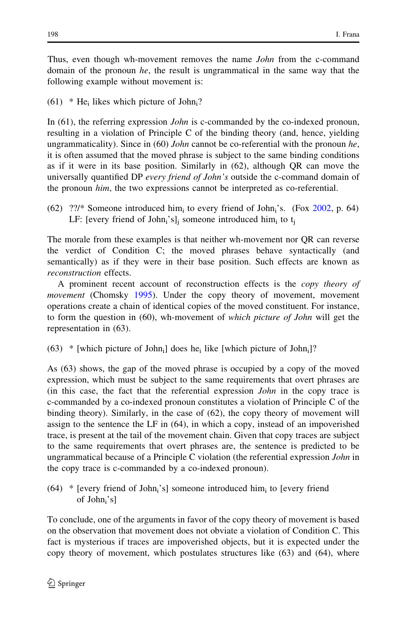Thus, even though wh-movement removes the name *John* from the c-command domain of the pronoun he, the result is ungrammatical in the same way that the following example without movement is:

 $(61)$  \* He<sub>i</sub> likes which picture of John<sub>i</sub>?

In (61), the referring expression *John* is c-commanded by the co-indexed pronoun, resulting in a violation of Principle C of the binding theory (and, hence, yielding ungrammaticality). Since in  $(60)$  John cannot be co-referential with the pronoun he, it is often assumed that the moved phrase is subject to the same binding conditions as if it were in its base position. Similarly in (62), although QR can move the universally quantified DP every friend of John's outside the c-command domain of the pronoun him, the two expressions cannot be interpreted as co-referential.

 $(62)$  ??/\* Someone introduced him<sub>i</sub> to every friend of John<sub>i</sub>'s. (Fox [2002,](#page-38-0) p. 64) LF: [every friend of John<sub>i</sub>'s]<sub>i</sub> someone introduced him<sub>i</sub> to  $t_i$ 

The morale from these examples is that neither wh-movement nor QR can reverse the verdict of Condition C; the moved phrases behave syntactically (and semantically) as if they were in their base position. Such effects are known as reconstruction effects.

A prominent recent account of reconstruction effects is the copy theory of movement (Chomsky [1995\)](#page-38-0). Under the copy theory of movement, movement operations create a chain of identical copies of the moved constituent. For instance, to form the question in (60), wh-movement of which picture of John will get the representation in (63).

 $(63)$  \* [which picture of John<sub>i</sub>] does he<sub>i</sub> like [which picture of John<sub>i</sub>]?

As (63) shows, the gap of the moved phrase is occupied by a copy of the moved expression, which must be subject to the same requirements that overt phrases are (in this case, the fact that the referential expression John in the copy trace is c-commanded by a co-indexed pronoun constitutes a violation of Principle C of the binding theory). Similarly, in the case of (62), the copy theory of movement will assign to the sentence the LF in (64), in which a copy, instead of an impoverished trace, is present at the tail of the movement chain. Given that copy traces are subject to the same requirements that overt phrases are, the sentence is predicted to be ungrammatical because of a Principle C violation (the referential expression John in the copy trace is c-commanded by a co-indexed pronoun).

 $(64)$  \* [every friend of John<sub>i</sub>'s] someone introduced him<sub>i</sub> to [every friend of John<sub>i</sub>'s]

To conclude, one of the arguments in favor of the copy theory of movement is based on the observation that movement does not obviate a violation of Condition C. This fact is mysterious if traces are impoverished objects, but it is expected under the copy theory of movement, which postulates structures like (63) and (64), where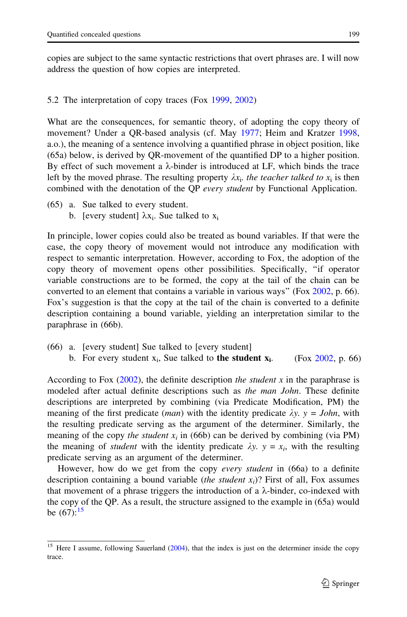copies are subject to the same syntactic restrictions that overt phrases are. I will now address the question of how copies are interpreted.

## 5.2 The interpretation of copy traces (Fox [1999](#page-38-0), [2002\)](#page-38-0)

What are the consequences, for semantic theory, of adopting the copy theory of movement? Under a QR-based analysis (cf. May [1977;](#page-39-0) Heim and Kratzer [1998,](#page-39-0) a.o.), the meaning of a sentence involving a quantified phrase in object position, like (65a) below, is derived by QR-movement of the quantified DP to a higher position. By effect of such movement a  $\lambda$ -binder is introduced at LF, which binds the trace left by the moved phrase. The resulting property  $\lambda x_i$ . the teacher talked to  $x_i$  is then combined with the denotation of the OP *every student* by Functional Application.

(65) a. Sue talked to every student. b. [every student]  $\lambda x_i$ . Sue talked to  $x_i$ 

In principle, lower copies could also be treated as bound variables. If that were the case, the copy theory of movement would not introduce any modification with respect to semantic interpretation. However, according to Fox, the adoption of the copy theory of movement opens other possibilities. Specifically, ''if operator variable constructions are to be formed, the copy at the tail of the chain can be converted to an element that contains a variable in various ways'' (Fox [2002](#page-38-0), p. 66). Fox's suggestion is that the copy at the tail of the chain is converted to a definite description containing a bound variable, yielding an interpretation similar to the paraphrase in (66b).

(66) a. [every student] Sue talked to [every student] b. For every student  $x_i$ , Sue talked to **the student**  $x_i$ **.** (Fox [2002](#page-38-0), p. 66)

According to Fox  $(2002)$  $(2002)$ , the definite description the *student* x in the paraphrase is modeled after actual definite descriptions such as the man John. These definite descriptions are interpreted by combining (via Predicate Modification, PM) the meaning of the first predicate (*man*) with the identity predicate  $\lambda y$ .  $y = John$ , with the resulting predicate serving as the argument of the determiner. Similarly, the meaning of the copy the student  $x_i$  in (66b) can be derived by combining (via PM) the meaning of *student* with the identity predicate  $\lambda y$ .  $y = x_i$ , with the resulting predicate serving as an argument of the determiner.

However, how do we get from the copy *every student* in (66a) to a definite description containing a bound variable *(the student*  $x_i$ *)*? First of all, Fox assumes that movement of a phrase triggers the introduction of a  $\lambda$ -binder, co-indexed with the copy of the QP. As a result, the structure assigned to the example in (65a) would be  $(67)$ :<sup>15</sup>

Here I assume, following Sauerland [\(2004\)](#page-39-0), that the index is just on the determiner inside the copy trace.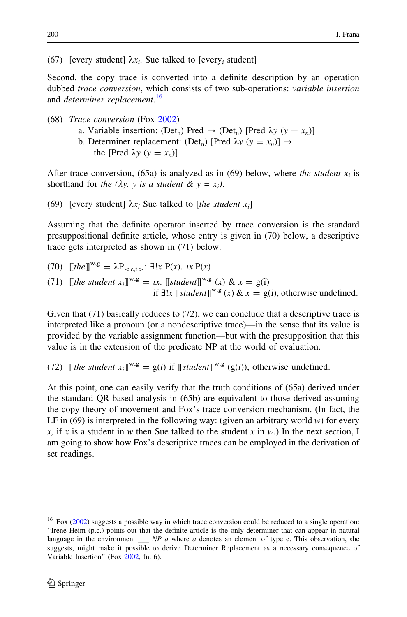(67) [every student]  $\lambda x_i$ . Sue talked to [every; student]

Second, the copy trace is converted into a definite description by an operation dubbed trace conversion, which consists of two sub-operations: variable insertion and *determiner replacement*.<sup>16</sup>

- (68) Trace conversion (Fox [2002\)](#page-38-0)
	- a. Variable insertion: (Det<sub>n</sub>) Pred  $\rightarrow$  (Det<sub>n</sub>) [Pred  $\lambda y$  ( $y = x_n$ )] b. Determiner replacement: (Det<sub>n</sub>) [Pred  $\lambda y$  ( $y = x_n$ )]  $\rightarrow$ the [Pred  $\lambda y$  ( $y = x_n$ )]

After trace conversion, (65a) is analyzed as in (69) below, where the student  $x_i$  is shorthand for the ( $\lambda y$ , y is a student &  $y = x_i$ ).

(69) [every student]  $\lambda x_i$  Sue talked to [the student  $x_i$ ]

Assuming that the definite operator inserted by trace conversion is the standard presuppositional definite article, whose entry is given in (70) below, a descriptive trace gets interpreted as shown in (71) below.

(70) 
$$
[[the]]^{w,g} = \lambda P_{< e,t} = \exists!x P(x)
$$
.  $ix.P(x)$ \n(71)  $[[the student x_i]]^{w,g} = ix$ .  $[[student]]^{w,g}(x) \& x = g(i)$ \nif  $\exists!x \, [[student]]^{w,g}(x) \& x = g(i)$ , otherwise undefined.

Given that (71) basically reduces to (72), we can conclude that a descriptive trace is interpreted like a pronoun (or a nondescriptive trace)—in the sense that its value is provided by the variable assignment function—but with the presupposition that this value is in the extension of the predicate NP at the world of evaluation.

(72)  $\[\]$ the student  $x_i$ ] $\]^{w,g} = g(i)$  if  $\[\]$ student $\]^{w,g}$  ( $g(i)$ ), otherwise undefined.

At this point, one can easily verify that the truth conditions of (65a) derived under the standard QR-based analysis in (65b) are equivalent to those derived assuming the copy theory of movement and Fox's trace conversion mechanism. (In fact, the LF in  $(69)$  is interpreted in the following way: (given an arbitrary world w) for every x, if x is a student in w then Sue talked to the student x in w.) In the next section, I am going to show how Fox's descriptive traces can be employed in the derivation of set readings.

<sup>&</sup>lt;sup>16</sup> Fox [\(2002](#page-38-0)) suggests a possible way in which trace conversion could be reduced to a single operation: ''Irene Heim (p.c.) points out that the definite article is the only determiner that can appear in natural language in the environment  $\_\_\_NP$  a where a denotes an element of type e. This observation, she suggests, might make it possible to derive Determiner Replacement as a necessary consequence of Variable Insertion'' (Fox [2002](#page-38-0), fn. 6).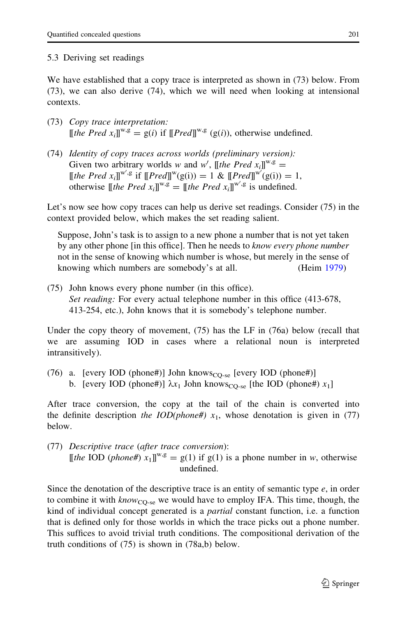# 5.3 Deriving set readings

We have established that a copy trace is interpreted as shown in (73) below. From (73), we can also derive (74), which we will need when looking at intensional contexts.

- (73) Copy trace interpretation:  $[$ [the Pred  $x_i$ ]]<sup>w,g</sup> = g(i) if  $[$ [Pred]]<sup>w,g</sup> (g(i)), otherwise undefined.
- (74) Identity of copy traces across worlds (preliminary version): Given two arbitrary worlds w and w', [[the Pred  $x_i$ ]]<sup>w,g</sup> = [[the Pred  $x_i$ ]]<sup>w',g</sup> if  $[Pred]]^w(g(i)) = 1$  &  $[Pred]]^{w'}(g(i)) = 1$ , otherwise  $[\![the \; Pred \; x_i]\!]^{w,g} = [\![the \; Pred \; x_i]\!]^{w',g}$  is undefined.

Let's now see how copy traces can help us derive set readings. Consider (75) in the context provided below, which makes the set reading salient.

Suppose, John's task is to assign to a new phone a number that is not yet taken by any other phone [in this office]. Then he needs to know every phone number not in the sense of knowing which number is whose, but merely in the sense of knowing which numbers are somebody's at all. (Heim [1979\)](#page-39-0)

(75) John knows every phone number (in this office). Set reading: For every actual telephone number in this office (413-678, 413-254, etc.), John knows that it is somebody's telephone number.

Under the copy theory of movement, (75) has the LF in (76a) below (recall that we are assuming IOD in cases where a relational noun is interpreted intransitively).

(76) a. [every IOD (phone#)] John knows<sub>CO-se</sub> [every IOD (phone#)] b. [every IOD (phone#)]  $\lambda x_1$  John knows<sub>CO-se</sub> [the IOD (phone#)  $x_1$ ]

After trace conversion, the copy at the tail of the chain is converted into the definite description the IOD(phone#)  $x_1$ , whose denotation is given in (77) below.

(77) Descriptive trace (after trace conversion): [[the IOD (phone#)  $x_1$ ]]<sup>w,g</sup> = g(1) if g(1) is a phone number in w, otherwise undefined.

Since the denotation of the descriptive trace is an entity of semantic type  $e$ , in order to combine it with  $know_{CO-se}$  we would have to employ IFA. This time, though, the kind of individual concept generated is a *partial* constant function, i.e. a function that is defined only for those worlds in which the trace picks out a phone number. This suffices to avoid trivial truth conditions. The compositional derivation of the truth conditions of (75) is shown in (78a,b) below.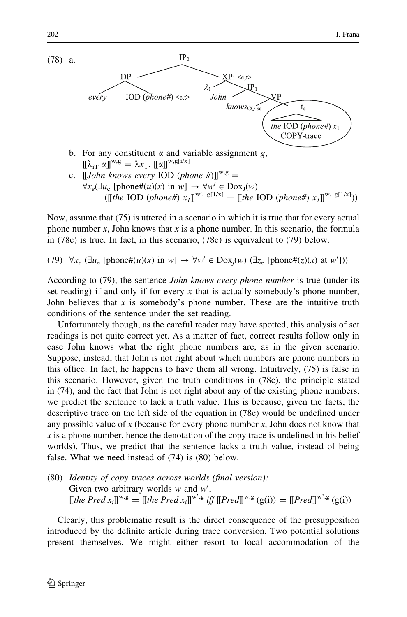

- b. For any constituent  $\alpha$  and variable assignment g,  $[\![\lambda_{iT} \alpha]\!]^{w,g} = \lambda x_T$ .  $[\![\alpha]\!]^{w,g[i/x]}$
- c.  $\Box$   $\Box$  IJohn knows every IOD (phone #) $\Box^{\mathbf{w},\mathbf{g}} =$  $\forall x_e \left( \exists u_e \left[ \text{phone} \#(u)(x) \text{ in } w \right] \rightarrow \forall w' \in \text{Dox}_I(w) \right)$ ([[the IOD (phone#)  $x_I$ ]]<sup>w', g[1/x]</sup> = [[the IOD (phone#)  $x_I$ ]]<sup>w, g[1/x]</sup>))

Now, assume that (75) is uttered in a scenario in which it is true that for every actual phone number x, John knows that x is a phone number. In this scenario, the formula in (78c) is true. In fact, in this scenario, (78c) is equivalent to (79) below.

(79)  $\forall x_e \, (\exists u_e \, [\text{phone} \#(u)(x) \text{ in } w] \rightarrow \forall w' \in \text{Dox}_j(w) \, (\exists z_e \, [\text{phone} \#(z)(x) \text{ at } w'])$ 

According to (79), the sentence *John knows every phone number* is true (under its set reading) if and only if for every x that is actually somebody's phone number, John believes that x is somebody's phone number. These are the intuitive truth conditions of the sentence under the set reading.

Unfortunately though, as the careful reader may have spotted, this analysis of set readings is not quite correct yet. As a matter of fact, correct results follow only in case John knows what the right phone numbers are, as in the given scenario. Suppose, instead, that John is not right about which numbers are phone numbers in this office. In fact, he happens to have them all wrong. Intuitively, (75) is false in this scenario. However, given the truth conditions in (78c), the principle stated in (74), and the fact that John is not right about any of the existing phone numbers, we predict the sentence to lack a truth value. This is because, given the facts, the descriptive trace on the left side of the equation in (78c) would be undefined under any possible value of x (because for every phone number  $x$ , John does not know that  $x$  is a phone number, hence the denotation of the copy trace is undefined in his belief worlds). Thus, we predict that the sentence lacks a truth value, instead of being false. What we need instead of (74) is (80) below.

(80) Identity of copy traces across worlds (final version): Given two arbitrary worlds  $w$  and  $w'$ ,  $[\![the \, Pred \, x_i]\!]^{w,g} = [\![the \, Pred \, x_i]\!]^{w',g} \, iff \, [\![Pred]\!]^{w,g} (g(i)) = [\![Pred]\!]^{w',g} (g(i))$ 

Clearly, this problematic result is the direct consequence of the presupposition introduced by the definite article during trace conversion. Two potential solutions present themselves. We might either resort to local accommodation of the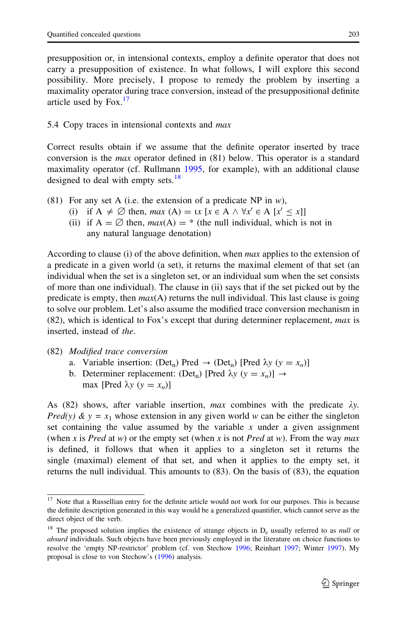presupposition or, in intensional contexts, employ a definite operator that does not carry a presupposition of existence. In what follows, I will explore this second possibility. More precisely, I propose to remedy the problem by inserting a maximality operator during trace conversion, instead of the presuppositional definite article used by  $Fox.<sup>17</sup>$ 

# 5.4 Copy traces in intensional contexts and max

Correct results obtain if we assume that the definite operator inserted by trace conversion is the max operator defined in (81) below. This operator is a standard maximality operator (cf. Rullmann [1995,](#page-39-0) for example), with an additional clause designed to deal with empty sets. $18$ 

- (81) For any set A (i.e. the extension of a predicate NP in  $w$ ),
	- (i) if  $A \neq \emptyset$  then, max  $(A) = \iota x$  [ $x \in A \land \forall x' \in A$  [ $x' \leq x$ ]]
	- (ii) if  $A = \emptyset$  then,  $max(A) = *$  (the null individual, which is not in any natural language denotation)

According to clause (i) of the above definition, when *max* applies to the extension of a predicate in a given world (a set), it returns the maximal element of that set (an individual when the set is a singleton set, or an individual sum when the set consists of more than one individual). The clause in (ii) says that if the set picked out by the predicate is empty, then  $max(A)$  returns the null individual. This last clause is going to solve our problem. Let's also assume the modified trace conversion mechanism in  $(82)$ , which is identical to Fox's except that during determiner replacement, *max* is inserted, instead of the.

- (82) Modified trace conversion
	- a. Variable insertion: (Det<sub>n</sub>) Pred  $\rightarrow$  (Det<sub>n</sub>) [Pred  $\lambda y$  ( $y = x_n$ )]
	- b. Determiner replacement: (Det<sub>n</sub>) [Pred  $\lambda y$  ( $y = x_n$ )]  $\rightarrow$ max [Pred  $\lambda y$  ( $y = x_n$ )]

As (82) shows, after variable insertion, max combines with the predicate  $\lambda y$ . *Pred(y)*  $\& y = x_1$  whose extension in any given world w can be either the singleton set containing the value assumed by the variable  $x$  under a given assignment (when x is Pred at w) or the empty set (when x is not Pred at w). From the way max is defined, it follows that when it applies to a singleton set it returns the single (maximal) element of that set, and when it applies to the empty set, it returns the null individual. This amounts to (83). On the basis of (83), the equation

<sup>&</sup>lt;sup>17</sup> Note that a Russellian entry for the definite article would not work for our purposes. This is because the definite description generated in this way would be a generalized quantifier, which cannot serve as the direct object of the verb.

<sup>&</sup>lt;sup>18</sup> The proposed solution implies the existence of strange objects in  $D_e$  usually referred to as *null* or absurd individuals. Such objects have been previously employed in the literature on choice functions to resolve the 'empty NP-restrictor' problem (cf. von Stechow [1996](#page-39-0); Reinhart [1997](#page-39-0); Winter [1997](#page-39-0)). My proposal is close to von Stechow's ([1996\)](#page-39-0) analysis.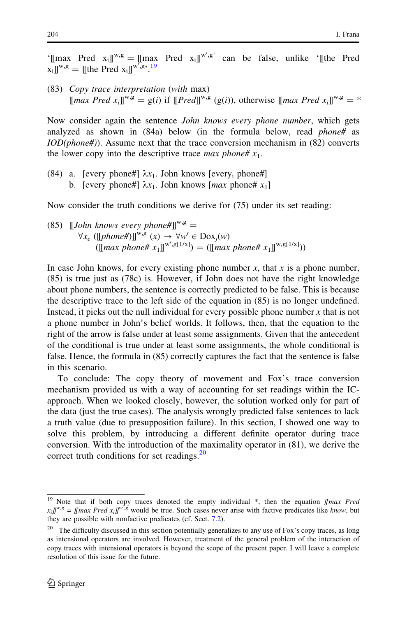'[[max Pred  $x_i$ ]]<sup>w,g</sup> = [[max Pred  $x_i$ ]]<sup>w',g'</sup> can be false, unlike '[[the Pred  $[x_i] \mathbb{I}^{w,g} = [[$ the Pred  $x_i] \mathbb{I}^{w',g'}$ .<sup>19</sup>

(83) Copy trace interpretation (with max)  $[\text{max Pred } x_i]^{w,g} = g(i)$  if  $[\text{Pred}])^{w,g}$  (g(i)), otherwise  $[\text{max Pred } x_i]^{w,g} = *$ 

Now consider again the sentence *John knows every phone number*, which gets analyzed as shown in (84a) below (in the formula below, read phone# as  $IOD(phone\#))$ . Assume next that the trace conversion mechanism in (82) converts the lower copy into the descriptive trace *max phone#*  $x_1$ .

(84) a. [every phone#]  $\lambda x_1$ . John knows [every<sub>i</sub> phone#] b. [every phone#]  $\lambda x_1$ . John knows [*max* phone#  $x_1$ ]

Now consider the truth conditions we derive for (75) under its set reading:

(85) 
$$
[[John \; knows \; every \; phone\#]]^{w,g} = \forall x_e \;([[phone\#)]^{w,g} (x) \rightarrow \forall w' \in Dox_j(w)
$$
\n $([max \; phone\# x_1]]^{w', g[1/x]}) = ([max \; phone\# x_1]]^{w, g[1/x]})$ 

In case John knows, for every existing phone number  $x$ , that  $x$  is a phone number, (85) is true just as (78c) is. However, if John does not have the right knowledge about phone numbers, the sentence is correctly predicted to be false. This is because the descriptive trace to the left side of the equation in (85) is no longer undefined. Instead, it picks out the null individual for every possible phone number  $x$  that is not a phone number in John's belief worlds. It follows, then, that the equation to the right of the arrow is false under at least some assignments. Given that the antecedent of the conditional is true under at least some assignments, the whole conditional is false. Hence, the formula in (85) correctly captures the fact that the sentence is false in this scenario.

To conclude: The copy theory of movement and Fox's trace conversion mechanism provided us with a way of accounting for set readings within the ICapproach. When we looked closely, however, the solution worked only for part of the data (just the true cases). The analysis wrongly predicted false sentences to lack a truth value (due to presupposition failure). In this section, I showed one way to solve this problem, by introducing a different definite operator during trace conversion. With the introduction of the maximality operator in (81), we derive the correct truth conditions for set readings. $20$ 

<sup>&</sup>lt;sup>19</sup> Note that if both copy traces denoted the empty individual  $*$ , then the equation [[max Pred  $x_i \mathbf{v}^{w,g} = [\mathbf{f} \mathbf{v} \mathbf{v}]$  and  $\mathbf{v} \mathbf{v} \mathbf{v} \mathbf{v}$  and  $\mathbf{v} \mathbf{v}$  would be true. Such cases never arise with factive predicates like know, but they are possible with nonfactive predicates (cf. Sect. [7.2\)](#page-35-0).

<sup>&</sup>lt;sup>20</sup> The difficulty discussed in this section potentially generalizes to any use of Fox's copy traces, as long as intensional operators are involved. However, treatment of the general problem of the interaction of copy traces with intensional operators is beyond the scope of the present paper. I will leave a complete resolution of this issue for the future.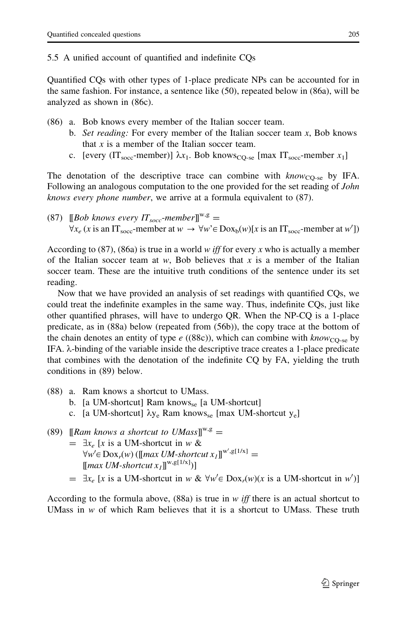# 5.5 A unified account of quantified and indefinite CQs

Quantified CQs with other types of 1-place predicate NPs can be accounted for in the same fashion. For instance, a sentence like (50), repeated below in (86a), will be analyzed as shown in (86c).

- (86) a. Bob knows every member of the Italian soccer team.
	- b. Set reading: For every member of the Italian soccer team  $x$ , Bob knows that  $x$  is a member of the Italian soccer team.
	- c. [every (IT<sub>socc</sub>-member)]  $\lambda x_1$ . Bob knows<sub>CO-se</sub> [max IT<sub>socc</sub>-member  $x_1$ ]

The denotation of the descriptive trace can combine with  $know_{CO-se}$  by IFA. Following an analogous computation to the one provided for the set reading of *John* knows every phone number, we arrive at a formula equivalent to (87).

(87)  $\left[\right]Bob \; knows \; every \; IT_{socc} \text{-}member \right]^{w,g} =$  $\forall x_e$  (x is an IT<sub>socc</sub>-member at  $w \to \forall w$ ' $\in$  Dox<sub>b</sub> $(w)[x]$  is an IT<sub>socc</sub>-member at  $w'$ ])

According to (87), (86a) is true in a world w iff for every x who is actually a member of the Italian soccer team at w, Bob believes that x is a member of the Italian soccer team. These are the intuitive truth conditions of the sentence under its set reading.

Now that we have provided an analysis of set readings with quantified CQs, we could treat the indefinite examples in the same way. Thus, indefinite CQs, just like other quantified phrases, will have to undergo QR. When the NP-CQ is a 1-place predicate, as in (88a) below (repeated from (56b)), the copy trace at the bottom of the chain denotes an entity of type  $e$  ((88c)), which can combine with  $know_{CO-se}$  by IFA. k-binding of the variable inside the descriptive trace creates a 1-place predicate that combines with the denotation of the indefinite CQ by FA, yielding the truth conditions in (89) below.

- (88) a. Ram knows a shortcut to UMass.
	- b. [a UM-shortcut] Ram knows<sub>se</sub> [a UM-shortcut]
	- c. [a UM-shortcut]  $\lambda y_e$  Ram knows<sub>se</sub> [max UM-shortcut  $y_e$ ]
- (89) [Ram knows a shortcut to UMass<sup>I] $w, g$ </sup>
	- $= \exists x_e$  [x is a UM-shortcut in w &  $\forall w' \in \text{Dox}_r(w)$  ([[max UM-shortcut  $x_I$ ]]<sup>w',g[1/x]</sup> =  $[\text{max } UM\text{-}shortcut x_I]]^{w,g[1/x]})$ ]
	- =  $\exists x_e$  [x is a UM-shortcut in w &  $\forall w' \in \text{Dox}_r(w)(x \text{ is a UM-shortcut in } w')$ ]

According to the formula above,  $(88a)$  is true in w *iff* there is an actual shortcut to UMass in  $w$  of which Ram believes that it is a shortcut to UMass. These truth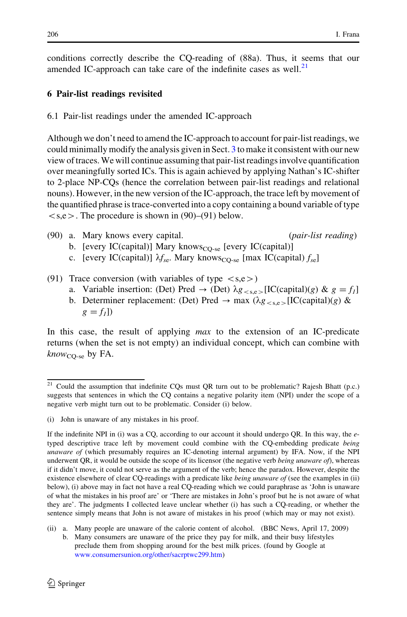<span id="page-27-0"></span>conditions correctly describe the CQ-reading of (88a). Thus, it seems that our amended IC-approach can take care of the indefinite cases as well. $2<sup>1</sup>$ 

# 6 Pair-list readings revisited

6.1 Pair-list readings under the amended IC-approach

Although we don't need to amend the IC-approach to account for pair-list readings, we could minimally modify the analysis given in Sect. [3](#page-8-0) to make it consistent with our new view of traces. We will continue assuming that pair-list readings involve quantification over meaningfully sorted ICs. This is again achieved by applying Nathan's IC-shifter to 2-place NP-CQs (hence the correlation between pair-list readings and relational nouns). However, in the new version of the IC-approach, the trace left by movement of the quantified phrase is trace-converted into a copy containing a bound variable of type  $\langle s, e \rangle$ . The procedure is shown in (90)–(91) below.

- (90) a. Mary knows every capital. (pair-list reading)
	- b. [every IC(capital)] Mary knows<sub>CQ-se</sub> [every IC(capital)]
	- c. [every IC(capital)]  $\lambda f_{\rm se}$ . Mary knows<sub>CO-se</sub> [max IC(capital)  $f_{\rm se}$ ]
- (91) Trace conversion (with variables of type  $\langle s,e \rangle$ )
	- a. Variable insertion: (Det) Pred  $\rightarrow$  (Det)  $\lambda g_{\lt s,e>}$ [IC(capital)(g) &  $g = f_1$ ]
	- b. Determiner replacement: (Det) Pred  $\rightarrow$  max ( $\lambda g_{\leq s,e}$ [IC(capital)(g) &  $g = f<sub>1</sub>$ ]

In this case, the result of applying *max* to the extension of an IC-predicate returns (when the set is not empty) an individual concept, which can combine with  $know_{CO-se}$  by FA.

<sup>&</sup>lt;sup>21</sup> Could the assumption that indefinite CQs must QR turn out to be problematic? Rajesh Bhatt (p.c.) suggests that sentences in which the CQ contains a negative polarity item (NPI) under the scope of a negative verb might turn out to be problematic. Consider (i) below.

<sup>(</sup>i) John is unaware of any mistakes in his proof.

If the indefinite NPI in (i) was a CQ, according to our account it should undergo QR. In this way, the  $e$ typed descriptive trace left by movement could combine with the CQ-embedding predicate being unaware of (which presumably requires an IC-denoting internal argument) by IFA. Now, if the NPI underwent QR, it would be outside the scope of its licensor (the negative verb *being unaware of*), whereas if it didn't move, it could not serve as the argument of the verb; hence the paradox. However, despite the existence elsewhere of clear CQ-readings with a predicate like *being unaware of* (see the examples in (ii) below), (i) above may in fact not have a real CQ-reading which we could paraphrase as 'John is unaware of what the mistakes in his proof are' or 'There are mistakes in John's proof but he is not aware of what they are'. The judgments I collected leave unclear whether (i) has such a CQ-reading, or whether the sentence simply means that John is not aware of mistakes in his proof (which may or may not exist).

<sup>(</sup>ii) a. Many people are unaware of the calorie content of alcohol. (BBC News, April 17, 2009) b. Many consumers are unaware of the price they pay for milk, and their busy lifestyles preclude them from shopping around for the best milk prices. (found by Google at [www.consumersunion.org/other/sacrptwc299.htm](http://www.consumersunion.org/other/sacrptwc299.htm))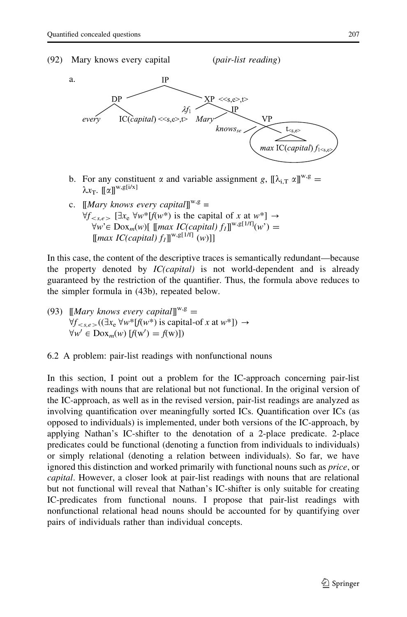



- b. For any constituent  $\alpha$  and variable assignment g,  $[\![\lambda_{i,T} \alpha]\!]^{w,g} =$  $\lambda x$ <sub>T</sub>.  $\lbrack \lbrack \alpha \rbrack \rbrack^{w,g[i/x]}$
- c.  $\left[\text{Mary knows every capital}\right]^{w,g}$  =  $\forall f_{\leq s.e>}$  [ $\exists x_e \forall w^*[f(w^*)]$  is the capital of x at  $w^*$ ]  $\rightarrow$  $\forall w \in \mathrm{Dox}_m(w)$ [ [[max IC(capital)  $f_i$ ]]<sup>w,g[1/f]</sup>(w') =  $\left[\left[\max IC(capital)\,f_{1}\right]^{w,g[1/f]}(w)\right]$

In this case, the content of the descriptive traces is semantically redundant—because the property denoted by  $IC(capital)$  is not world-dependent and is already guaranteed by the restriction of the quantifier. Thus, the formula above reduces to the simpler formula in (43b), repeated below.

- (93)  $[Mary knows every capital]^{w,g} =$  $\forall f_{\leq s,e}$   $((\exists x_e \forall w^*[f(w^*))$  is capital-of x at  $w^*]) \rightarrow$  $\forall w' \in \text{Dox}_m(w) [f(w') = f(w)])$
- 6.2 A problem: pair-list readings with nonfunctional nouns

In this section, I point out a problem for the IC-approach concerning pair-list readings with nouns that are relational but not functional. In the original version of the IC-approach, as well as in the revised version, pair-list readings are analyzed as involving quantification over meaningfully sorted ICs. Quantification over ICs (as opposed to individuals) is implemented, under both versions of the IC-approach, by applying Nathan's IC-shifter to the denotation of a 2-place predicate. 2-place predicates could be functional (denoting a function from individuals to individuals) or simply relational (denoting a relation between individuals). So far, we have ignored this distinction and worked primarily with functional nouns such as *price*, or capital. However, a closer look at pair-list readings with nouns that are relational but not functional will reveal that Nathan's IC-shifter is only suitable for creating IC-predicates from functional nouns. I propose that pair-list readings with nonfunctional relational head nouns should be accounted for by quantifying over pairs of individuals rather than individual concepts.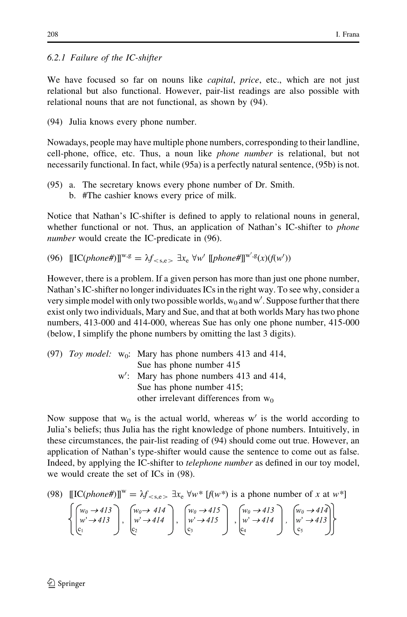## 6.2.1 Failure of the IC-shifter

We have focused so far on nouns like *capital*, *price*, etc., which are not just relational but also functional. However, pair-list readings are also possible with relational nouns that are not functional, as shown by (94).

(94) Julia knows every phone number.

Nowadays, people may have multiple phone numbers, corresponding to their landline, cell-phone, office, etc. Thus, a noun like phone number is relational, but not necessarily functional. In fact, while (95a) is a perfectly natural sentence, (95b) is not.

(95) a. The secretary knows every phone number of Dr. Smith. b. #The cashier knows every price of milk.

Notice that Nathan's IC-shifter is defined to apply to relational nouns in general, whether functional or not. Thus, an application of Nathan's IC-shifter to *phone* number would create the IC-predicate in  $(96)$ .

(96)  $[[IC(phone\#)]^{w,g} = \lambda f_{\langle s,e\rangle} \exists x_e \forall w' [[phone\#]]^{w',g}(x)(f(w'))$ 

However, there is a problem. If a given person has more than just one phone number, Nathan's IC-shifter no longer individuates ICs in the right way. To see why, consider a very simple model with only two possible worlds,  $w_0$  and  $w'$ . Suppose further that there exist only two individuals, Mary and Sue, and that at both worlds Mary has two phone numbers, 413-000 and 414-000, whereas Sue has only one phone number, 415-000 (below, I simplify the phone numbers by omitting the last 3 digits).

(97) *Toy model:* 
$$
w_0
$$
: Mary has phone numbers 413 and 414,  $S$ ue has phone number 415  $w'$ : Mary has phone numbers 413 and 414,  $S$ ue has phone number 415; other irrelevant differences from  $w_0$ 

Now suppose that  $w_0$  is the actual world, whereas w' is the world according to Julia's beliefs; thus Julia has the right knowledge of phone numbers. Intuitively, in these circumstances, the pair-list reading of (94) should come out true. However, an application of Nathan's type-shifter would cause the sentence to come out as false. Indeed, by applying the IC-shifter to telephone number as defined in our toy model, we would create the set of ICs in (98).

(98) 
$$
[[IC(phone\#)]]^{w} = \lambda f_{< s, e} \exists x_e \forall w^* [f(w^*)]
$$
 is a phone number of *x* at *w*\*]

$$
\left\{\begin{pmatrix}w_0 \rightarrow 413 \\ w' \rightarrow 413 \\ e_1 \end{pmatrix}, \begin{pmatrix}w_0 \rightarrow 414 \\ w' \rightarrow 414 \\ e_2 \end{pmatrix}, \begin{pmatrix}w_0 \rightarrow 415 \\ w' \rightarrow 415 \\ e_3 \end{pmatrix}, \begin{pmatrix}w_0 \rightarrow 413 \\ w' \rightarrow 414 \\ e_4 \end{pmatrix}, \begin{pmatrix}w_0 \rightarrow 414 \\ w' \rightarrow 413 \\ e_5 \end{pmatrix}\right\}
$$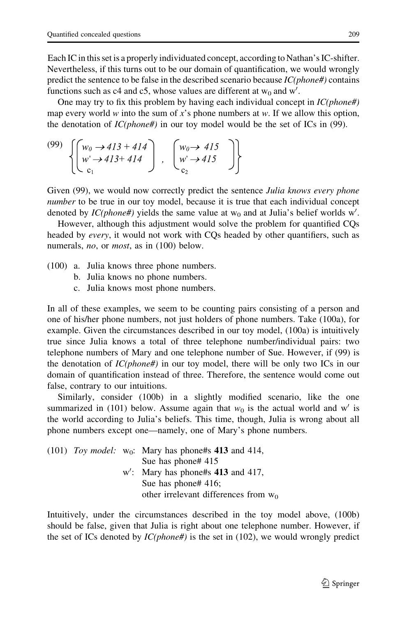Each IC in this set is a properly individuated concept, according to Nathan's IC-shifter. Nevertheless, if this turns out to be our domain of quantification, we would wrongly predict the sentence to be false in the described scenario because  $IC(phone \#)$  contains functions such as  $c4$  and  $c5$ , whose values are different at  $w_0$  and  $w'$ .

One may try to fix this problem by having each individual concept in  $IC(phone \#)$ map every world w into the sum of x's phone numbers at w. If we allow this option, the denotation of  $IC(phone \#)$  in our toy model would be the set of ICs in (99).

$$
\begin{pmatrix}\n(99) \\
w' \rightarrow 413 + 414 \\
w' \rightarrow 413 + 414 \\
c_1\n\end{pmatrix}, \begin{pmatrix}\nw_0 \rightarrow 415 \\
w' \rightarrow 415 \\
c_2\n\end{pmatrix}
$$

Given (99), we would now correctly predict the sentence *Julia knows every phone number* to be true in our toy model, because it is true that each individual concept denoted by  $IC(phone \#)$  yields the same value at  $w_0$  and at Julia's belief worlds w'.

However, although this adjustment would solve the problem for quantified CQs headed by *every*, it would not work with CQs headed by other quantifiers, such as numerals, *no*, or *most*, as in (100) below.

- (100) a. Julia knows three phone numbers.
	- b. Julia knows no phone numbers.
	- c. Julia knows most phone numbers.

In all of these examples, we seem to be counting pairs consisting of a person and one of his/her phone numbers, not just holders of phone numbers. Take (100a), for example. Given the circumstances described in our toy model, (100a) is intuitively true since Julia knows a total of three telephone number/individual pairs: two telephone numbers of Mary and one telephone number of Sue. However, if (99) is the denotation of  $IC(phone\#)$  in our toy model, there will be only two ICs in our domain of quantification instead of three. Therefore, the sentence would come out false, contrary to our intuitions.

Similarly, consider (100b) in a slightly modified scenario, like the one summarized in (101) below. Assume again that  $w_0$  is the actual world and w' is the world according to Julia's beliefs. This time, though, Julia is wrong about all phone numbers except one—namely, one of Mary's phone numbers.

|  | (101) Toy model: $w_0$ : Mary has phone#s 413 and 414, |
|--|--------------------------------------------------------|
|  | Sue has phone# 415                                     |
|  | $w'$ : Mary has phone#s 413 and 417,                   |
|  | Sue has phone# $416$ ;                                 |
|  | other irrelevant differences from $w_0$                |
|  |                                                        |

Intuitively, under the circumstances described in the toy model above, (100b) should be false, given that Julia is right about one telephone number. However, if the set of ICs denoted by  $IC(phone \#)$  is the set in (102), we would wrongly predict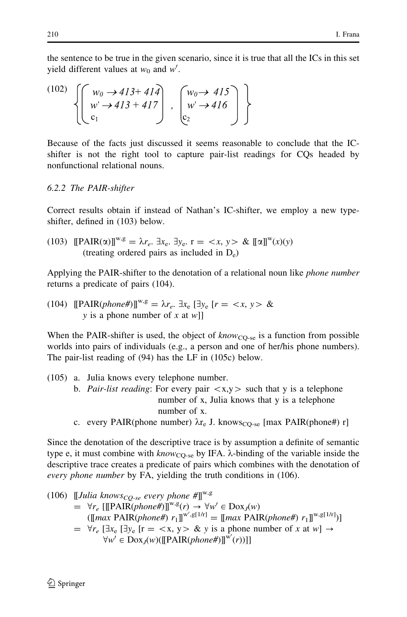the sentence to be true in the given scenario, since it is true that all the ICs in this set yield different values at  $w_0$  and  $w'$ .

$$
\begin{pmatrix}\n(102) \\
w' \rightarrow 413 + 414 \\
c_1\n\end{pmatrix}, \begin{pmatrix}\nw_0 \rightarrow 415 \\
w' \rightarrow 416 \\
c_2\n\end{pmatrix}
$$

Because of the facts just discussed it seems reasonable to conclude that the ICshifter is not the right tool to capture pair-list readings for CQs headed by nonfunctional relational nouns.

## 6.2.2 The PAIR-shifter

Correct results obtain if instead of Nathan's IC-shifter, we employ a new typeshifter, defined in (103) below.

(103) 
$$
[\mathbf{PAIR}(\alpha)]^{w,g} = \lambda r_e. \exists x_e. \exists y_e. \mathbf{r} = \langle x, y \rangle \& \llbracket \alpha \rrbracket^w(x)(y)
$$
 (treating ordered pairs as included in  $D_e$ )

Applying the PAIR-shifter to the denotation of a relational noun like *phone number* returns a predicate of pairs (104).

(104)  $\text{[PAIR}(phone\#)\text{]}^{w,g} = \lambda r_e$ .  $\exists x_e$   $\exists y_e$   $[r = \langle x, y \rangle \&$ y is a phone number of x at  $w$ ]

When the PAIR-shifter is used, the object of  $know_{CO-se}$  is a function from possible worlds into pairs of individuals (e.g., a person and one of her/his phone numbers). The pair-list reading of (94) has the LF in (105c) below.

- (105) a. Julia knows every telephone number. b. Pair-list reading: For every pair  $\langle x,y \rangle$  such that y is a telephone number of x, Julia knows that y is a telephone number of x.
	- c. every PAIR(phone number)  $\lambda r_e$  J. knows<sub>CO-se</sub> [max PAIR(phone#) r]

Since the denotation of the descriptive trace is by assumption a definite of semantic type e, it must combine with  $know_{CO-se}$  by IFA.  $\lambda$ -binding of the variable inside the descriptive trace creates a predicate of pairs which combines with the denotation of every phone number by FA, yielding the truth conditions in (106).

(106) 
$$
\llbracket \text{Julia knows}_{CQ\text{-se}} \text{every phone } # \rrbracket^{\mathbf{w}, \mathbf{g}} = \forall r_e \left[ \llbracket \text{PAIR}(phone \#) \rrbracket^{\mathbf{w}, \mathbf{g}}(r) \rightarrow \forall w' \in \text{Dox}_J(w) \right. \\ \llbracket \llbracket \text{max} \text{PAIR}(phone \#) \ r_1 \rrbracket^{\mathbf{w}', \mathbf{g}[1/r]} = \llbracket \text{max} \text{PAIR}(phone \#) \ r_1 \rrbracket^{\mathbf{w}, \mathbf{g}[1/r]} \right) = \forall r_e \left[ \exists x_e \left[ \exists y_e \left[ r = \langle x, y \rangle \& y \text{ is a phone number of } x \text{ at } w \right] \rightarrow \forall w' \in \text{Dox}_J(w) (\llbracket \text{PAIR}(phone \#) \rrbracket^{\mathbf{w}'}(r)) \right] \right]
$$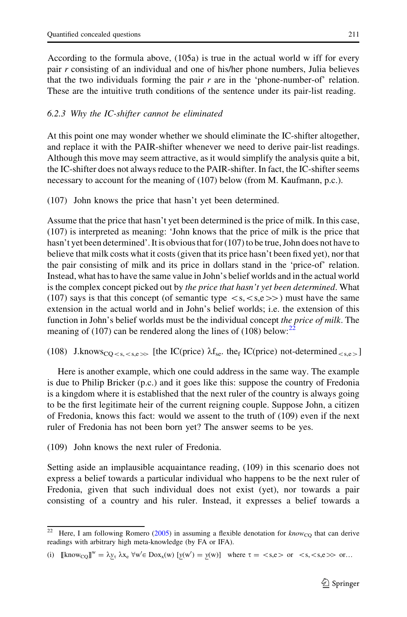According to the formula above, (105a) is true in the actual world w iff for every pair r consisting of an individual and one of his/her phone numbers, Julia believes that the two individuals forming the pair  $r$  are in the 'phone-number-of' relation. These are the intuitive truth conditions of the sentence under its pair-list reading.

## 6.2.3 Why the IC-shifter cannot be eliminated

At this point one may wonder whether we should eliminate the IC-shifter altogether, and replace it with the PAIR-shifter whenever we need to derive pair-list readings. Although this move may seem attractive, as it would simplify the analysis quite a bit, the IC-shifter does not always reduce to the PAIR-shifter. In fact, the IC-shifter seems necessary to account for the meaning of (107) below (from M. Kaufmann, p.c.).

(107) John knows the price that hasn't yet been determined.

Assume that the price that hasn't yet been determined is the price of milk. In this case, (107) is interpreted as meaning: 'John knows that the price of milk is the price that hasn't yet been determined'. It is obvious that for (107) to be true, John does not have to believe that milk costs what it costs (given that its price hasn't been fixed yet), nor that the pair consisting of milk and its price in dollars stand in the 'price-of' relation. Instead, what has to have the same value in John's belief worlds and in the actual world is the complex concept picked out by the price that hasn't yet been determined. What (107) says is that this concept (of semantic type  $\langle s,\langle s,e\rangle\rangle$ ) must have the same extension in the actual world and in John's belief worlds; i.e. the extension of this function in John's belief worlds must be the individual concept the price of milk. The meaning of (107) can be rendered along the lines of (108) below: $^{22}$ 

(108) J.knows<sub>CQ < s, < s,e >></sub> [the IC(price)  $\lambda f_{\rm se}$ . the<sub>f</sub> IC(price) not-determined <sub>< s,e</sub> >

Here is another example, which one could address in the same way. The example is due to Philip Bricker (p.c.) and it goes like this: suppose the country of Fredonia is a kingdom where it is established that the next ruler of the country is always going to be the first legitimate heir of the current reigning couple. Suppose John, a citizen of Fredonia, knows this fact: would we assent to the truth of (109) even if the next ruler of Fredonia has not been born yet? The answer seems to be yes.

(109) John knows the next ruler of Fredonia.

Setting aside an implausible acquaintance reading, (109) in this scenario does not express a belief towards a particular individual who happens to be the next ruler of Fredonia, given that such individual does not exist (yet), nor towards a pair consisting of a country and his ruler. Instead, it expresses a belief towards a

<sup>&</sup>lt;sup>22</sup> Here, I am following Romero ([2005\)](#page-39-0) in assuming a flexible denotation for  $\text{know}_{\text{CO}}$  that can derive readings with arbitrary high meta-knowledge (by FA or IFA).

<sup>(</sup>i)  $[\text{Know}_{CQ}]^{w} = \lambda y_{\tau} \lambda x_{e} \forall w' \in Dox_{x}(w)$   $[y(w') = y(w)]$  where  $\tau = \langle s,e \rangle$  or  $\langle s,\langle s,e \rangle$  or ...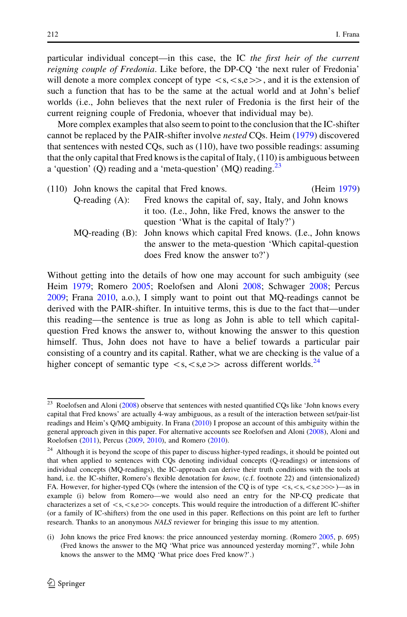particular individual concept—in this case, the IC the first heir of the current reigning couple of Fredonia. Like before, the DP-CQ 'the next ruler of Fredonia' will denote a more complex concept of type  $\langle s,\langle s,e\rangle\rangle$ , and it is the extension of such a function that has to be the same at the actual world and at John's belief worlds (i.e., John believes that the next ruler of Fredonia is the first heir of the current reigning couple of Fredonia, whoever that individual may be).

More complex examples that also seem to point to the conclusion that the IC-shifter cannot be replaced by the PAIR-shifter involve nested CQs. Heim [\(1979](#page-39-0)) discovered that sentences with nested CQs, such as (110), have two possible readings: assuming that the only capital that Fred knows is the capital of Italy, (110) is ambiguous between a 'question' (Q) reading and a 'meta-question' (MQ) reading. $^{23}$ 

(110) John knows the capital that Fred knows. (Heim [1979](#page-39-0)) Q-reading (A): Fred knows the capital of, say, Italy, and John knows it too. (I.e., John, like Fred, knows the answer to the question 'What is the capital of Italy?') MQ-reading (B): John knows which capital Fred knows. (I.e., John knows the answer to the meta-question 'Which capital-question

does Fred know the answer to?') Without getting into the details of how one may account for such ambiguity (see Heim [1979](#page-39-0); Romero [2005;](#page-39-0) Roelofsen and Aloni [2008](#page-39-0); Schwager [2008](#page-39-0); Percus [2009;](#page-39-0) Frana [2010,](#page-38-0) a.o.), I simply want to point out that MQ-readings cannot be derived with the PAIR-shifter. In intuitive terms, this is due to the fact that—under this reading—the sentence is true as long as John is able to tell which capitalquestion Fred knows the answer to, without knowing the answer to this question himself. Thus, John does not have to have a belief towards a particular pair

consisting of a country and its capital. Rather, what we are checking is the value of a higher concept of semantic type  $\langle s,\langle s,e \rangle$  across different worlds.<sup>24</sup>

<sup>&</sup>lt;sup>23</sup> Roelofsen and Aloni ([2008\)](#page-39-0) observe that sentences with nested quantified CQs like 'John knows every capital that Fred knows' are actually 4-way ambiguous, as a result of the interaction between set/pair-list readings and Heim's Q/MQ ambiguity. In Frana [\(2010\)](#page-38-0) I propose an account of this ambiguity within the general approach given in this paper. For alternative accounts see Roelofsen and Aloni ([2008\)](#page-39-0), Aloni and Roelofsen ([2011](#page-38-0)), Percus [\(2009](#page-39-0), [2010\)](#page-39-0), and Romero [\(2010](#page-39-0)).

<sup>&</sup>lt;sup>24</sup> Although it is beyond the scope of this paper to discuss higher-typed readings, it should be pointed out that when applied to sentences with CQs denoting individual concepts (Q-readings) or intensions of individual concepts (MQ-readings), the IC-approach can derive their truth conditions with the tools at hand, i.e. the IC-shifter, Romero's flexible denotation for *know*, (c.f. footnote 22) and (intensionalized) FA. However, for higher-typed COs (where the intension of the CO is of type  $\langle s,\langle s,\langle s,e\rangle\rangle\rangle$ —as in example (i) below from Romero—we would also need an entry for the NP-CQ predicate that characterizes a set of  $\langle s,\langle s,e\rangle\rangle$  concepts. This would require the introduction of a different IC-shifter (or a family of IC-shifters) from the one used in this paper. Reflections on this point are left to further research. Thanks to an anonymous NALS reviewer for bringing this issue to my attention.

<sup>(</sup>i) John knows the price Fred knows: the price announced yesterday morning. (Romero [2005](#page-39-0), p. 695) (Fred knows the answer to the MQ 'What price was announced yesterday morning?', while John knows the answer to the MMQ 'What price does Fred know?'.)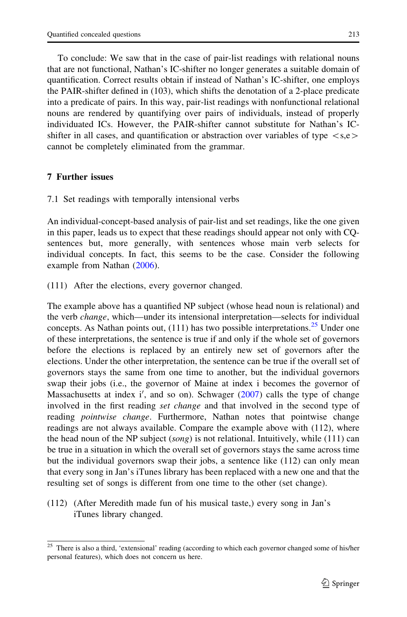To conclude: We saw that in the case of pair-list readings with relational nouns that are not functional, Nathan's IC-shifter no longer generates a suitable domain of quantification. Correct results obtain if instead of Nathan's IC-shifter, one employs the PAIR-shifter defined in (103), which shifts the denotation of a 2-place predicate into a predicate of pairs. In this way, pair-list readings with nonfunctional relational nouns are rendered by quantifying over pairs of individuals, instead of properly individuated ICs. However, the PAIR-shifter cannot substitute for Nathan's ICshifter in all cases, and quantification or abstraction over variables of type  $\langle$ s.e $\rangle$ cannot be completely eliminated from the grammar.

## 7 Further issues

7.1 Set readings with temporally intensional verbs

An individual-concept-based analysis of pair-list and set readings, like the one given in this paper, leads us to expect that these readings should appear not only with CQsentences but, more generally, with sentences whose main verb selects for individual concepts. In fact, this seems to be the case. Consider the following example from Nathan ([2006\)](#page-39-0).

(111) After the elections, every governor changed.

The example above has a quantified NP subject (whose head noun is relational) and the verb change, which—under its intensional interpretation—selects for individual concepts. As Nathan points out,  $(111)$  has two possible interpretations.<sup>25</sup> Under one of these interpretations, the sentence is true if and only if the whole set of governors before the elections is replaced by an entirely new set of governors after the elections. Under the other interpretation, the sentence can be true if the overall set of governors stays the same from one time to another, but the individual governors swap their jobs (i.e., the governor of Maine at index i becomes the governor of Massachusetts at index i', and so on). Schwager [\(2007](#page-39-0)) calls the type of change involved in the first reading *set change* and that involved in the second type of reading *pointwise change*. Furthermore, Nathan notes that pointwise change readings are not always available. Compare the example above with (112), where the head noun of the NP subject (song) is not relational. Intuitively, while  $(111)$  can be true in a situation in which the overall set of governors stays the same across time but the individual governors swap their jobs, a sentence like (112) can only mean that every song in Jan's iTunes library has been replaced with a new one and that the resulting set of songs is different from one time to the other (set change).

(112) (After Meredith made fun of his musical taste,) every song in Jan's iTunes library changed.

There is also a third, 'extensional' reading (according to which each governor changed some of his/her personal features), which does not concern us here.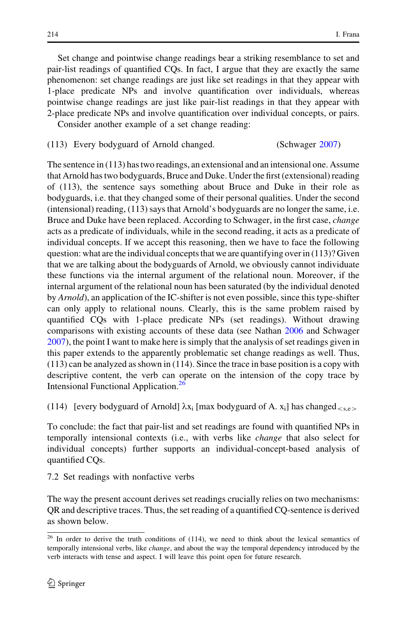<span id="page-35-0"></span>Set change and pointwise change readings bear a striking resemblance to set and pair-list readings of quantified CQs. In fact, I argue that they are exactly the same phenomenon: set change readings are just like set readings in that they appear with 1-place predicate NPs and involve quantification over individuals, whereas pointwise change readings are just like pair-list readings in that they appear with 2-place predicate NPs and involve quantification over individual concepts, or pairs. Consider another example of a set change reading:

(113) Every bodyguard of Arnold changed. (Schwager [2007\)](#page-39-0)

The sentence in (113) has two readings, an extensional and an intensional one. Assume that Arnold has two bodyguards, Bruce and Duke. Under the first (extensional) reading of (113), the sentence says something about Bruce and Duke in their role as bodyguards, i.e. that they changed some of their personal qualities. Under the second (intensional) reading, (113) says that Arnold's bodyguards are no longer the same, i.e. Bruce and Duke have been replaced. According to Schwager, in the first case, change acts as a predicate of individuals, while in the second reading, it acts as a predicate of individual concepts. If we accept this reasoning, then we have to face the following question: what are the individual concepts that we are quantifying over in (113)? Given that we are talking about the bodyguards of Arnold, we obviously cannot individuate these functions via the internal argument of the relational noun. Moreover, if the internal argument of the relational noun has been saturated (by the individual denoted by Arnold), an application of the IC-shifter is not even possible, since this type-shifter can only apply to relational nouns. Clearly, this is the same problem raised by quantified CQs with 1-place predicate NPs (set readings). Without drawing comparisons with existing accounts of these data (see Nathan [2006](#page-39-0) and Schwager [2007\)](#page-39-0), the point I want to make here is simply that the analysis of set readings given in this paper extends to the apparently problematic set change readings as well. Thus, (113) can be analyzed as shown in (114). Since the trace in base position is a copy with descriptive content, the verb can operate on the intension of the copy trace by Intensional Functional Application.<sup>26</sup>

(114) [every bodyguard of Arnold]  $\lambda x_i$  [max bodyguard of A.  $x_i$ ] has changed $\langle s.e \rangle$ 

To conclude: the fact that pair-list and set readings are found with quantified NPs in temporally intensional contexts (i.e., with verbs like change that also select for individual concepts) further supports an individual-concept-based analysis of quantified CQs.

7.2 Set readings with nonfactive verbs

The way the present account derives set readings crucially relies on two mechanisms: QR and descriptive traces. Thus, the set reading of a quantified CQ-sentence is derived as shown below.

 $26$  In order to derive the truth conditions of (114), we need to think about the lexical semantics of temporally intensional verbs, like change, and about the way the temporal dependency introduced by the verb interacts with tense and aspect. I will leave this point open for future research.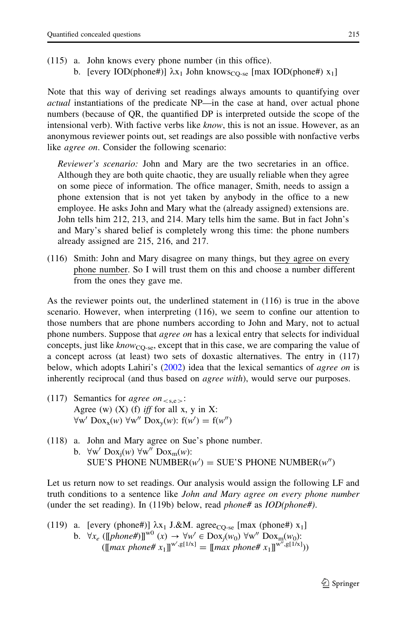- (115) a. John knows every phone number (in this office).
	- b. [every IOD(phone#)]  $\lambda x_1$  John knows<sub>CO-se</sub> [max IOD(phone#)  $x_1$ ]

Note that this way of deriving set readings always amounts to quantifying over actual instantiations of the predicate NP—in the case at hand, over actual phone numbers (because of QR, the quantified DP is interpreted outside the scope of the intensional verb). With factive verbs like *know*, this is not an issue. However, as an anonymous reviewer points out, set readings are also possible with nonfactive verbs like *agree on*. Consider the following scenario:

Reviewer's scenario: John and Mary are the two secretaries in an office. Although they are both quite chaotic, they are usually reliable when they agree on some piece of information. The office manager, Smith, needs to assign a phone extension that is not yet taken by anybody in the office to a new employee. He asks John and Mary what the (already assigned) extensions are. John tells him 212, 213, and 214. Mary tells him the same. But in fact John's and Mary's shared belief is completely wrong this time: the phone numbers already assigned are 215, 216, and 217.

(116) Smith: John and Mary disagree on many things, but they agree on every phone number. So I will trust them on this and choose a number different from the ones they gave me.

As the reviewer points out, the underlined statement in (116) is true in the above scenario. However, when interpreting (116), we seem to confine our attention to those numbers that are phone numbers according to John and Mary, not to actual phone numbers. Suppose that *agree on* has a lexical entry that selects for individual concepts, just like  $know_{CO-se}$ , except that in this case, we are comparing the value of a concept across (at least) two sets of doxastic alternatives. The entry in (117) below, which adopts Lahiri's ([2002\)](#page-39-0) idea that the lexical semantics of *agree on* is inherently reciprocal (and thus based on *agree with*), would serve our purposes.

- (117) Semantics for *agree on*<sub> $\leq$ s.e $\geq$ :</sub> Agree (w)  $(X)$  (f) *iff* for all x, y in X:  $\forall w'$  Dox<sub>x</sub>(w)  $\forall w''$  Dox<sub>y</sub>(w):  $f(w') = f(w'')$
- (118) a. John and Mary agree on Sue's phone number. b.  $\forall w'$  Dox<sub>i</sub> $(w)$   $\forall w''$  Dox<sub>m</sub> $(w)$ : SUE'S PHONE NUMBER $(w') =$  SUE'S PHONE NUMBER $(w'')$

Let us return now to set readings. Our analysis would assign the following LF and truth conditions to a sentence like John and Mary agree on every phone number (under the set reading). In (119b) below, read *phone#* as  $IOD(phone#)$ .

(119) a. [every (phone#)] 
$$
\lambda x_1
$$
 J. $\& M$ . agree<sub>CQ-se</sub> [max (phone#)  $x_1$ ]  
b.  $\forall x_e$  ([[phone#)]<sup>w0</sup> ( $x$ )  $\rightarrow \forall w' \in \text{Dox}_j(w_0) \ \forall w'' \text{Dox}_m(w_0)$ :  
([max phone#  $x_1$ ]]<sup>w',g[1/x]</sup> = [[max phone#  $x_1$ ]]<sup>w'',g[1/x]</sup>))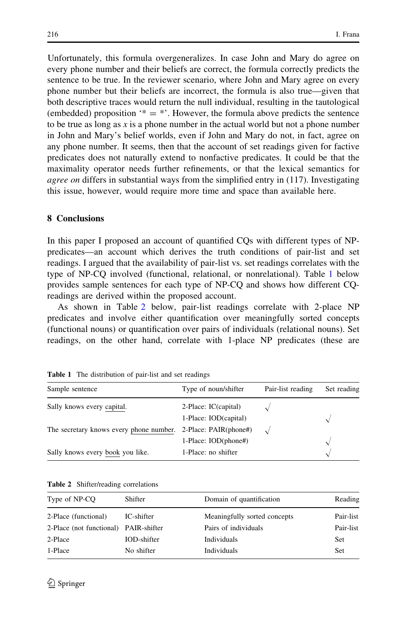Unfortunately, this formula overgeneralizes. In case John and Mary do agree on every phone number and their beliefs are correct, the formula correctly predicts the sentence to be true. In the reviewer scenario, where John and Mary agree on every phone number but their beliefs are incorrect, the formula is also true—given that both descriptive traces would return the null individual, resulting in the tautological (embedded) proposition  $* = *$ . However, the formula above predicts the sentence to be true as long as x is a phone number in the actual world but not a phone number in John and Mary's belief worlds, even if John and Mary do not, in fact, agree on any phone number. It seems, then that the account of set readings given for factive predicates does not naturally extend to nonfactive predicates. It could be that the maximality operator needs further refinements, or that the lexical semantics for *agree on* differs in substantial ways from the simplified entry in (117). Investigating this issue, however, would require more time and space than available here.

## 8 Conclusions

In this paper I proposed an account of quantified CQs with different types of NPpredicates—an account which derives the truth conditions of pair-list and set readings. I argued that the availability of pair-list vs. set readings correlates with the type of NP-CQ involved (functional, relational, or nonrelational). Table 1 below provides sample sentences for each type of NP-CQ and shows how different CQreadings are derived within the proposed account.

As shown in Table 2 below, pair-list readings correlate with 2-place NP predicates and involve either quantification over meaningfully sorted concepts (functional nouns) or quantification over pairs of individuals (relational nouns). Set readings, on the other hand, correlate with 1-place NP predicates (these are

| Sample sentence                                               | Type of noun/shifter  | Pair-list reading | Set reading |
|---------------------------------------------------------------|-----------------------|-------------------|-------------|
| Sally knows every capital.                                    | 2-Place: IC(capital)  |                   |             |
|                                                               | 1-Place: IOD(capital) |                   |             |
| The secretary knows every phone number. 2-Place: PAIR(phone#) |                       |                   |             |
|                                                               | 1-Place: IOD(phone#)  |                   |             |
| Sally knows every book you like.                              | 1-Place: no shifter   |                   |             |

Table 1 The distribution of pair-list and set readings

| Type of NP-CO                         | Shifter     | Domain of quantification     | Reading   |
|---------------------------------------|-------------|------------------------------|-----------|
| 2-Place (functional)                  | IC-shifter  | Meaningfully sorted concepts | Pair-list |
| 2-Place (not functional) PAIR-shifter |             | Pairs of individuals         | Pair-list |
| 2-Place                               | IOD-shifter | Individuals                  | Set       |
| 1-Place                               | No shifter  | <b>Individuals</b>           | Set       |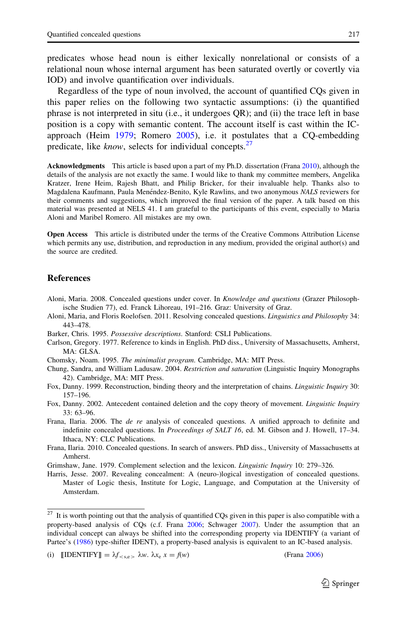<span id="page-38-0"></span>predicates whose head noun is either lexically nonrelational or consists of a relational noun whose internal argument has been saturated overtly or covertly via IOD) and involve quantification over individuals.

Regardless of the type of noun involved, the account of quantified CQs given in this paper relies on the following two syntactic assumptions: (i) the quantified phrase is not interpreted in situ (i.e., it undergoes QR); and (ii) the trace left in base position is a copy with semantic content. The account itself is cast within the ICapproach (Heim [1979](#page-39-0); Romero [2005](#page-39-0)), i.e. it postulates that a CQ-embedding predicate, like *know*, selects for individual concepts.<sup>27</sup>

Acknowledgments This article is based upon a part of my Ph.D. dissertation (Frana 2010), although the details of the analysis are not exactly the same. I would like to thank my committee members, Angelika Kratzer, Irene Heim, Rajesh Bhatt, and Philip Bricker, for their invaluable help. Thanks also to Magdalena Kaufmann, Paula Menéndez-Benito, Kyle Rawlins, and two anonymous NALS reviewers for their comments and suggestions, which improved the final version of the paper. A talk based on this material was presented at NELS 41. I am grateful to the participants of this event, especially to Maria Aloni and Maribel Romero. All mistakes are my own.

Open Access This article is distributed under the terms of the Creative Commons Attribution License which permits any use, distribution, and reproduction in any medium, provided the original author(s) and the source are credited.

#### **References**

- Aloni, Maria. 2008. Concealed questions under cover. In Knowledge and questions (Grazer Philosophische Studien 77), ed. Franck Lihoreau, 191–216. Graz: University of Graz.
- Aloni, Maria, and Floris Roelofsen. 2011. Resolving concealed questions. Linguistics and Philosophy 34: 443–478.
- Barker, Chris. 1995. Possessive descriptions. Stanford: CSLI Publications.
- Carlson, Gregory. 1977. Reference to kinds in English. PhD diss., University of Massachusetts, Amherst, MA: GLSA.
- Chomsky, Noam. 1995. The minimalist program. Cambridge, MA: MIT Press.
- Chung, Sandra, and William Ladusaw. 2004. Restriction and saturation (Linguistic Inquiry Monographs 42). Cambridge, MA: MIT Press.
- Fox, Danny. 1999. Reconstruction, binding theory and the interpretation of chains. *Linguistic Inquiry* 30: 157–196.
- Fox, Danny. 2002. Antecedent contained deletion and the copy theory of movement. Linguistic Inquiry 33: 63–96.
- Frana, Ilaria. 2006. The *de re* analysis of concealed questions. A unified approach to definite and indefinite concealed questions. In Proceedings of SALT 16, ed. M. Gibson and J. Howell, 17-34. Ithaca, NY: CLC Publications.
- Frana, Ilaria. 2010. Concealed questions. In search of answers. PhD diss., University of Massachusetts at Amherst.
- Grimshaw, Jane. 1979. Complement selection and the lexicon. Linguistic Inquiry 10: 279–326.
- Harris, Jesse. 2007. Revealing concealment: A (neuro-)logical investigation of concealed questions. Master of Logic thesis, Institute for Logic, Language, and Computation at the University of Amsterdam.

<sup>&</sup>lt;sup>27</sup> It is worth pointing out that the analysis of quantified CQs given in this paper is also compatible with a property-based analysis of CQs (c.f. Frana 2006; Schwager [2007](#page-39-0)). Under the assumption that an individual concept can always be shifted into the corresponding property via IDENTIFY (a variant of Partee's [\(1986\)](#page-39-0) type-shifter IDENT), a property-based analysis is equivalent to an IC-based analysis.